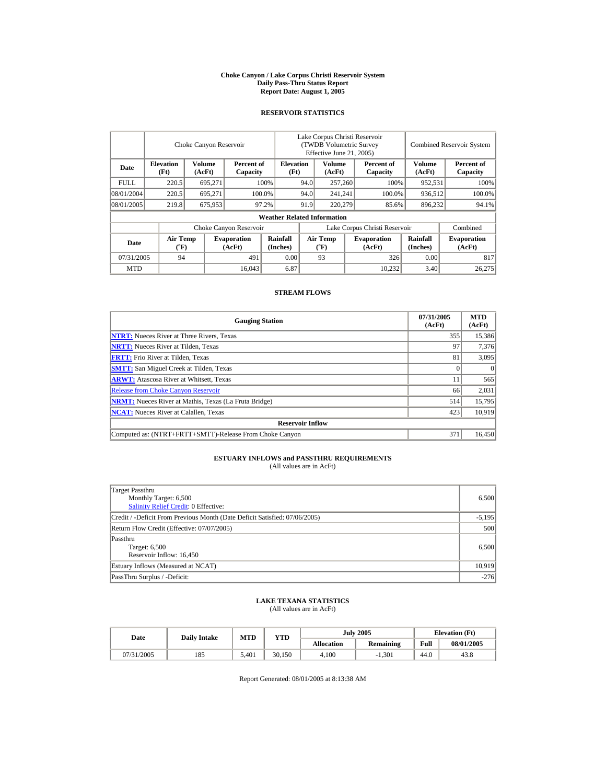#### **Choke Canyon / Lake Corpus Christi Reservoir System Daily Pass-Thru Status Report Report Date: August 1, 2005**

## **RESERVOIR STATISTICS**

|             | Choke Canyon Reservoir                      |                  |                              |                                    | Lake Corpus Christi Reservoir<br><b>(TWDB Volumetric Survey)</b><br>Effective June 21, 2005) |                                             |  |                              | <b>Combined Reservoir System</b> |                              |
|-------------|---------------------------------------------|------------------|------------------------------|------------------------------------|----------------------------------------------------------------------------------------------|---------------------------------------------|--|------------------------------|----------------------------------|------------------------------|
| Date        | <b>Elevation</b><br>(Ft)                    | Volume<br>(AcFt) | Percent of<br>Capacity       | <b>Elevation</b><br>(Ft)           |                                                                                              | <b>Volume</b><br>(AcFt)                     |  | Percent of<br>Capacity       | Volume<br>(AcFt)                 | Percent of<br>Capacity       |
| <b>FULL</b> | 220.5                                       | 695.271          |                              | 100%                               | 94.0                                                                                         | 257,260                                     |  | 100%                         | 952,531                          | 100%                         |
| 08/01/2004  | 220.5                                       | 695.271          |                              | 100.0%                             | 94.0                                                                                         | 241.241                                     |  | 100.0%                       | 936.512                          | 100.0%                       |
| 08/01/2005  | 219.8                                       | 675,953          |                              | 97.2%                              | 91.9                                                                                         | 220,279                                     |  | 85.6%                        | 896,232                          | 94.1%                        |
|             |                                             |                  |                              | <b>Weather Related Information</b> |                                                                                              |                                             |  |                              |                                  |                              |
|             |                                             |                  | Choke Canyon Reservoir       |                                    | Lake Corpus Christi Reservoir                                                                |                                             |  |                              |                                  | Combined                     |
| Date        | <b>Air Temp</b><br>$({}^{\circ}\mathbf{F})$ |                  | <b>Evaporation</b><br>(AcFt) | Rainfall<br>(Inches)               |                                                                                              | <b>Air Temp</b><br>$({}^{\circ}\mathrm{F})$ |  | <b>Evaporation</b><br>(AcFt) | Rainfall<br>(Inches)             | <b>Evaporation</b><br>(AcFt) |
| 07/31/2005  | 94                                          |                  | 491                          | 0.00                               |                                                                                              | 93                                          |  | 326                          | 0.00                             | 817                          |
| <b>MTD</b>  |                                             |                  | 16.043                       | 6.87                               |                                                                                              |                                             |  | 10.232                       | 3.40                             | 26,275                       |

### **STREAM FLOWS**

| <b>Gauging Station</b>                                       | 07/31/2005<br>(AcFt) | <b>MTD</b><br>(AcFt) |
|--------------------------------------------------------------|----------------------|----------------------|
| <b>NTRT:</b> Nueces River at Three Rivers, Texas             | 355                  | 15,386               |
| <b>NRTT:</b> Nueces River at Tilden, Texas                   | 97                   | 7,376                |
| <b>FRTT:</b> Frio River at Tilden, Texas                     | 81                   | 3,095                |
| <b>SMTT:</b> San Miguel Creek at Tilden, Texas               |                      | $\Omega$             |
| <b>ARWT:</b> Atascosa River at Whitsett, Texas               | 11                   | 565                  |
| <b>Release from Choke Canyon Reservoir</b>                   | 66                   | 2,031                |
| <b>NRMT:</b> Nueces River at Mathis, Texas (La Fruta Bridge) | 514                  | 15,795               |
| <b>NCAT:</b> Nueces River at Calallen, Texas                 | 423                  | 10,919               |
| <b>Reservoir Inflow</b>                                      |                      |                      |
| Computed as: (NTRT+FRTT+SMTT)-Release From Choke Canyon      | 371                  | 16.450               |

## **ESTUARY INFLOWS and PASSTHRU REQUIREMENTS**<br>(All values are in AcFt)

| Target Passthru<br>Monthly Target: 6,500<br><b>Salinity Relief Credit: 0 Effective:</b> | 6.500    |
|-----------------------------------------------------------------------------------------|----------|
| Credit / -Deficit From Previous Month (Date Deficit Satisfied: 07/06/2005)              | $-5,195$ |
| Return Flow Credit (Effective: 07/07/2005)                                              | 500      |
| Passthru<br>Target: 6,500<br>Reservoir Inflow: 16,450                                   | 6,500    |
| Estuary Inflows (Measured at NCAT)                                                      | 10.919   |
| PassThru Surplus / -Deficit:                                                            | $-276$   |

## **LAKE TEXANA STATISTICS** (All values are in AcFt)

| Date       | <b>Daily Intake</b> | <b>MTD</b> | <b>YTD</b> |                   | <b>July 2005</b> | <b>Elevation</b> (Ft) |            |
|------------|---------------------|------------|------------|-------------------|------------------|-----------------------|------------|
|            |                     |            |            | <b>Allocation</b> | <b>Remaining</b> | Full                  | 08/01/2005 |
| 07/31/2005 | 185                 | 5.401      | 30,150     | 4.100             | $-1.301$         | 44.0                  | 43.8       |

Report Generated: 08/01/2005 at 8:13:38 AM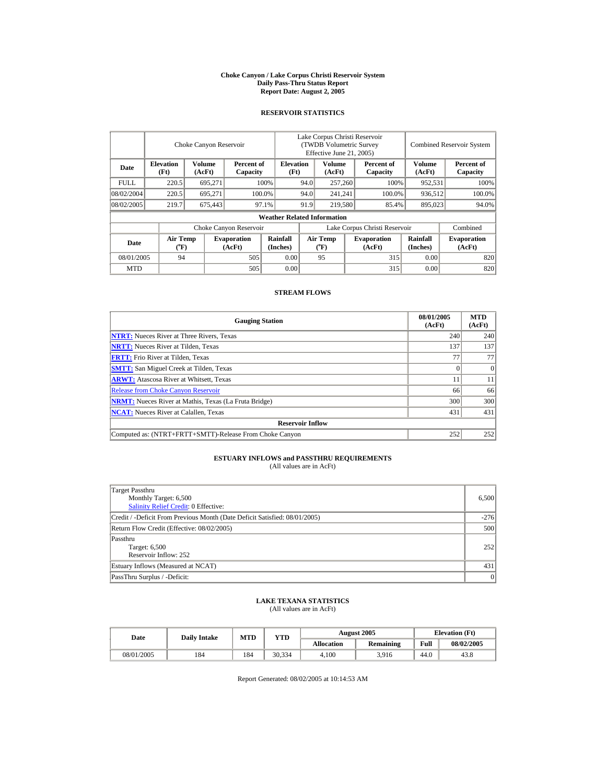#### **Choke Canyon / Lake Corpus Christi Reservoir System Daily Pass-Thru Status Report Report Date: August 2, 2005**

## **RESERVOIR STATISTICS**

|             | Choke Canyon Reservoir   |                  |                              |                                    | Lake Corpus Christi Reservoir<br>(TWDB Volumetric Survey<br>Effective June 21, 2005) |                                |  |                              | <b>Combined Reservoir System</b> |                              |  |
|-------------|--------------------------|------------------|------------------------------|------------------------------------|--------------------------------------------------------------------------------------|--------------------------------|--|------------------------------|----------------------------------|------------------------------|--|
| Date        | <b>Elevation</b><br>(Ft) | Volume<br>(AcFt) | Percent of<br>Capacity       | <b>Elevation</b><br>(Ft)           |                                                                                      | Volume<br>(AcFt)               |  | Percent of<br>Capacity       | Volume<br>(AcFt)                 | Percent of<br>Capacity       |  |
| <b>FULL</b> | 220.5                    | 695.271          |                              | 100%                               | 94.0                                                                                 | 257,260                        |  | 100%                         | 952.531                          | 100%                         |  |
| 08/02/2004  | 220.5                    | 695.271          |                              | 100.0%                             | 94.0                                                                                 | 241.241                        |  | 100.0%                       | 936.512                          | 100.0%                       |  |
| 08/02/2005  | 219.7                    | 675,443          |                              | 97.1%                              | 91.9                                                                                 | 219,580                        |  | 85.4%                        | 895,023                          | 94.0%                        |  |
|             |                          |                  |                              | <b>Weather Related Information</b> |                                                                                      |                                |  |                              |                                  |                              |  |
|             |                          |                  | Choke Canyon Reservoir       |                                    | Lake Corpus Christi Reservoir                                                        |                                |  |                              |                                  | Combined                     |  |
| Date        | <b>Air Temp</b><br>(°F)  |                  | <b>Evaporation</b><br>(AcFt) | Rainfall<br>(Inches)               |                                                                                      | <b>Air Temp</b><br>$({}^o\!F)$ |  | <b>Evaporation</b><br>(AcFt) | Rainfall<br>(Inches)             | <b>Evaporation</b><br>(AcFt) |  |
| 08/01/2005  | 94                       |                  | 505                          | 0.00                               |                                                                                      | 95                             |  | 315                          | 0.00                             | 820                          |  |
| <b>MTD</b>  |                          |                  | 505                          | 0.00                               |                                                                                      |                                |  | 315                          | 0.00                             | 820                          |  |

### **STREAM FLOWS**

| <b>Gauging Station</b>                                       | 08/01/2005<br>(AcFt) | <b>MTD</b><br>(AcFt) |
|--------------------------------------------------------------|----------------------|----------------------|
| <b>NTRT:</b> Nueces River at Three Rivers, Texas             | 240                  | 240                  |
| <b>NRTT:</b> Nueces River at Tilden, Texas                   | 137                  | 137                  |
| <b>FRTT:</b> Frio River at Tilden, Texas                     | 77                   | 77                   |
| <b>SMTT:</b> San Miguel Creek at Tilden, Texas               |                      | $\Omega$             |
| <b>ARWT:</b> Atascosa River at Whitsett, Texas               |                      | 11                   |
| <b>Release from Choke Canyon Reservoir</b>                   | 66                   | 66                   |
| <b>NRMT:</b> Nueces River at Mathis, Texas (La Fruta Bridge) | 300                  | 300                  |
| <b>NCAT:</b> Nueces River at Calallen, Texas                 | 431                  | 431                  |
| <b>Reservoir Inflow</b>                                      |                      |                      |
| Computed as: (NTRT+FRTT+SMTT)-Release From Choke Canyon      | 252                  | 252                  |

## **ESTUARY INFLOWS and PASSTHRU REQUIREMENTS**<br>(All values are in AcFt)

| Target Passthru<br>Monthly Target: 6,500<br>Salinity Relief Credit: 0 Effective: | 6,500  |
|----------------------------------------------------------------------------------|--------|
| Credit / -Deficit From Previous Month (Date Deficit Satisfied: 08/01/2005)       | $-276$ |
| Return Flow Credit (Effective: 08/02/2005)                                       | 500    |
| Passthru<br>Target: 6,500<br>Reservoir Inflow: 252                               | 252    |
| Estuary Inflows (Measured at NCAT)                                               | 431    |
| PassThru Surplus / -Deficit:                                                     | 0      |

## **LAKE TEXANA STATISTICS** (All values are in AcFt)

| Date       | <b>Daily Intake</b> | <b>MTD</b> | VTD    |                   | <b>August 2005</b> | <b>Elevation</b> (Ft) |            |
|------------|---------------------|------------|--------|-------------------|--------------------|-----------------------|------------|
|            |                     |            |        | <b>Allocation</b> | <b>Remaining</b>   | Full                  | 08/02/2005 |
| 08/01/2005 | 184                 | 184        | 30.334 | 4.100             | 3.916              | 44.0                  | 43.8       |

Report Generated: 08/02/2005 at 10:14:53 AM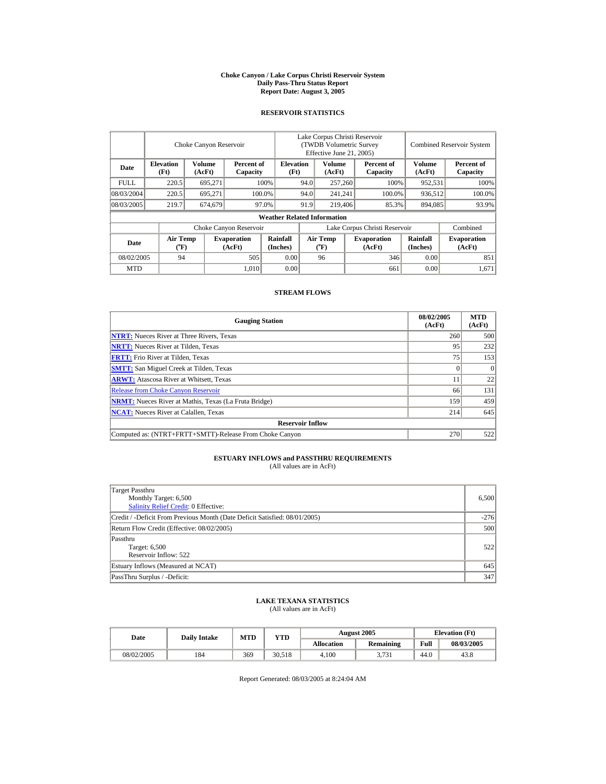#### **Choke Canyon / Lake Corpus Christi Reservoir System Daily Pass-Thru Status Report Report Date: August 3, 2005**

## **RESERVOIR STATISTICS**

|             | Choke Canyon Reservoir   |                  |                              |                                    | Lake Corpus Christi Reservoir<br>(TWDB Volumetric Survey<br>Effective June 21, 2005) |                                |  |                              | <b>Combined Reservoir System</b> |                              |  |
|-------------|--------------------------|------------------|------------------------------|------------------------------------|--------------------------------------------------------------------------------------|--------------------------------|--|------------------------------|----------------------------------|------------------------------|--|
| Date        | <b>Elevation</b><br>(Ft) | Volume<br>(AcFt) | Percent of<br>Capacity       | <b>Elevation</b><br>(Ft)           |                                                                                      | Volume<br>(AcFt)               |  | Percent of<br>Capacity       | Volume<br>(AcFt)                 | Percent of<br>Capacity       |  |
| <b>FULL</b> | 220.5                    | 695.271          |                              | 100%                               | 94.0                                                                                 | 257,260                        |  | 100%                         | 952.531                          | 100%                         |  |
| 08/03/2004  | 220.5                    | 695.271          |                              | 100.0%                             | 94.0                                                                                 | 241.241                        |  | 100.0%                       | 936.512                          | 100.0%                       |  |
| 08/03/2005  | 219.7                    | 674,679          |                              | 97.0%                              | 91.9                                                                                 | 219,406                        |  | 85.3%                        | 894,085                          | 93.9%                        |  |
|             |                          |                  |                              | <b>Weather Related Information</b> |                                                                                      |                                |  |                              |                                  |                              |  |
|             |                          |                  | Choke Canyon Reservoir       |                                    | Lake Corpus Christi Reservoir                                                        |                                |  |                              |                                  | Combined                     |  |
| Date        | <b>Air Temp</b><br>(°F)  |                  | <b>Evaporation</b><br>(AcFt) | Rainfall<br>(Inches)               |                                                                                      | <b>Air Temp</b><br>$({}^o\!F)$ |  | <b>Evaporation</b><br>(AcFt) | Rainfall<br>(Inches)             | <b>Evaporation</b><br>(AcFt) |  |
| 08/02/2005  | 94                       |                  | 505                          | 0.00                               |                                                                                      | 96                             |  | 346                          | 0.00                             | 851                          |  |
| <b>MTD</b>  |                          |                  | 1.010                        | 0.00                               |                                                                                      |                                |  | 661                          | 0.00                             | 1,671                        |  |

### **STREAM FLOWS**

| <b>Gauging Station</b>                                       | 08/02/2005<br>(AcFt) | <b>MTD</b><br>(AcFt) |
|--------------------------------------------------------------|----------------------|----------------------|
| <b>NTRT:</b> Nueces River at Three Rivers, Texas             | 260                  | 500                  |
| <b>NRTT:</b> Nueces River at Tilden, Texas                   | 95                   | 232                  |
| <b>FRTT:</b> Frio River at Tilden, Texas                     | 75                   | 153                  |
| <b>SMTT:</b> San Miguel Creek at Tilden, Texas               |                      | $\Omega$             |
| <b>ARWT:</b> Atascosa River at Whitsett, Texas               |                      | 22                   |
| <b>Release from Choke Canyon Reservoir</b>                   | 66                   | 131                  |
| <b>NRMT:</b> Nueces River at Mathis, Texas (La Fruta Bridge) | 159                  | 459                  |
| <b>NCAT:</b> Nueces River at Calallen, Texas                 | 214                  | 645                  |
| <b>Reservoir Inflow</b>                                      |                      |                      |
| Computed as: (NTRT+FRTT+SMTT)-Release From Choke Canyon      | 270                  | 522                  |

## **ESTUARY INFLOWS and PASSTHRU REQUIREMENTS**<br>(All values are in AcFt)

| Target Passthru<br>Monthly Target: 6,500<br><b>Salinity Relief Credit: 0 Effective:</b> | 6,500  |
|-----------------------------------------------------------------------------------------|--------|
| Credit / -Deficit From Previous Month (Date Deficit Satisfied: 08/01/2005)              | $-276$ |
| Return Flow Credit (Effective: 08/02/2005)                                              | 500    |
| Passthru<br>Target: 6,500<br>Reservoir Inflow: 522                                      | 5221   |
| Estuary Inflows (Measured at NCAT)                                                      | 645    |
| PassThru Surplus / -Deficit:                                                            | 347    |

## **LAKE TEXANA STATISTICS** (All values are in AcFt)

| Date       | <b>Dailv Intake</b> | MTD | <b>YTD</b> |            | <b>August 2005</b> | <b>Elevation</b> (Ft) |            |
|------------|---------------------|-----|------------|------------|--------------------|-----------------------|------------|
|            |                     |     |            | Allocation | Remaining          | Full                  | 08/03/2005 |
| 08/02/2005 | 184                 | 369 | 30.518     | 4.100      | 3.731              | 44.0                  | 43.8       |

Report Generated: 08/03/2005 at 8:24:04 AM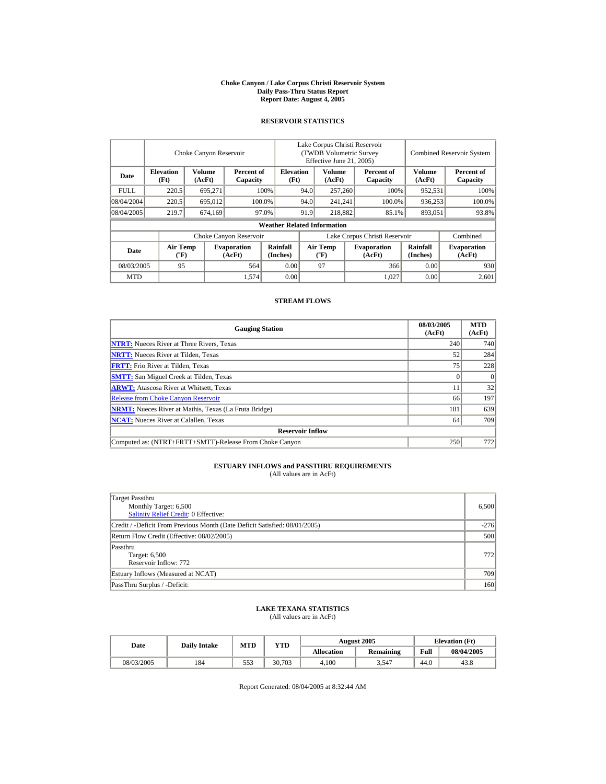#### **Choke Canyon / Lake Corpus Christi Reservoir System Daily Pass-Thru Status Report Report Date: August 4, 2005**

## **RESERVOIR STATISTICS**

|             |                                                                               | Choke Canyon Reservoir |                        | Lake Corpus Christi Reservoir<br>(TWDB Volumetric Survey)<br>Effective June 21, 2005) |                               |                                |         | <b>Combined Reservoir System</b> |                         |                              |
|-------------|-------------------------------------------------------------------------------|------------------------|------------------------|---------------------------------------------------------------------------------------|-------------------------------|--------------------------------|---------|----------------------------------|-------------------------|------------------------------|
| Date        | <b>Volume</b><br><b>Elevation</b><br>Percent of<br>(AcFt)<br>(Ft)<br>Capacity |                        |                        | <b>Elevation</b><br>(Ft)                                                              |                               | Volume<br>(AcFt)               |         | Percent of<br>Capacity           | <b>Volume</b><br>(AcFt) | Percent of<br>Capacity       |
| <b>FULL</b> | 220.5                                                                         | 695.271                |                        | 100%                                                                                  | 94.0                          | 257,260                        |         | 100%                             | 952,531                 | 100%                         |
| 08/04/2004  | 220.5                                                                         | 695.012                |                        | 100.0%                                                                                | 94.0                          |                                | 241.241 | 100.0%                           | 936.253                 | 100.0%                       |
| 08/04/2005  | 219.7                                                                         | 674,169                |                        | 97.0%                                                                                 | 218,882<br>91.9               |                                |         | 85.1%                            | 893,051                 | 93.8%                        |
|             |                                                                               |                        |                        | <b>Weather Related Information</b>                                                    |                               |                                |         |                                  |                         |                              |
|             |                                                                               |                        | Choke Canyon Reservoir |                                                                                       | Lake Corpus Christi Reservoir |                                |         |                                  |                         | Combined                     |
| Date        | Air Temp<br><b>Evaporation</b><br>$({}^o\mathrm{F})$<br>(AcFt)                |                        |                        | Rainfall<br>(Inches)                                                                  |                               | Air Temp<br>$({}^o\mathrm{F})$ |         | <b>Evaporation</b><br>(AcFt)     | Rainfall<br>(Inches)    | <b>Evaporation</b><br>(AcFt) |
| 08/03/2005  | 95<br>564                                                                     |                        |                        | 0.00                                                                                  |                               | 97                             |         | 366                              | 0.00                    | 930                          |
| <b>MTD</b>  |                                                                               |                        | 1,574                  | 0.00                                                                                  |                               |                                |         | 1.027                            | 0.00                    | 2,601                        |

## **STREAM FLOWS**

| <b>Gauging Station</b>                                       | 08/03/2005<br>(AcFt) | <b>MTD</b><br>(AcFt) |
|--------------------------------------------------------------|----------------------|----------------------|
| <b>NTRT:</b> Nueces River at Three Rivers, Texas             | 240                  | 740                  |
| <b>NRTT:</b> Nueces River at Tilden, Texas                   | 52                   | 284                  |
| <b>FRTT:</b> Frio River at Tilden, Texas                     | 75                   | 228                  |
| <b>SMTT:</b> San Miguel Creek at Tilden, Texas               |                      | $\Omega$             |
| <b>ARWT:</b> Atascosa River at Whitsett, Texas               | . .                  | 32                   |
| <b>Release from Choke Canyon Reservoir</b>                   | 66                   | 197                  |
| <b>NRMT:</b> Nueces River at Mathis, Texas (La Fruta Bridge) | 181                  | 639                  |
| <b>NCAT:</b> Nueces River at Calallen, Texas                 | 64                   | 709                  |
| <b>Reservoir Inflow</b>                                      |                      |                      |
| Computed as: (NTRT+FRTT+SMTT)-Release From Choke Canyon      | 250                  | 772                  |

## **ESTUARY INFLOWS and PASSTHRU REQUIREMENTS**<br>(All values are in AcFt)

| Target Passthru<br>Monthly Target: 6,500<br><b>Salinity Relief Credit: 0 Effective:</b> | 6,500  |
|-----------------------------------------------------------------------------------------|--------|
| Credit / -Deficit From Previous Month (Date Deficit Satisfied: 08/01/2005)              | $-276$ |
| Return Flow Credit (Effective: 08/02/2005)                                              | 500    |
| Passthru<br>Target: 6,500<br>Reservoir Inflow: 772                                      | 772    |
| Estuary Inflows (Measured at NCAT)                                                      | 709    |
| PassThru Surplus / -Deficit:                                                            | 160    |

## **LAKE TEXANA STATISTICS** (All values are in AcFt)

| <b>Date</b> | <b>Daily Intake</b> | <b>MTD</b> | VTD    | <b>August 2005</b> |                  |      | <b>Elevation</b> (Ft) |
|-------------|---------------------|------------|--------|--------------------|------------------|------|-----------------------|
|             |                     |            |        | Allocation         | <b>Remaining</b> | Full | 08/04/2005            |
| 08/03/2005  | 184                 | 553        | 30.703 | 4.100              | 3.547            | 44.0 | 43.8                  |

Report Generated: 08/04/2005 at 8:32:44 AM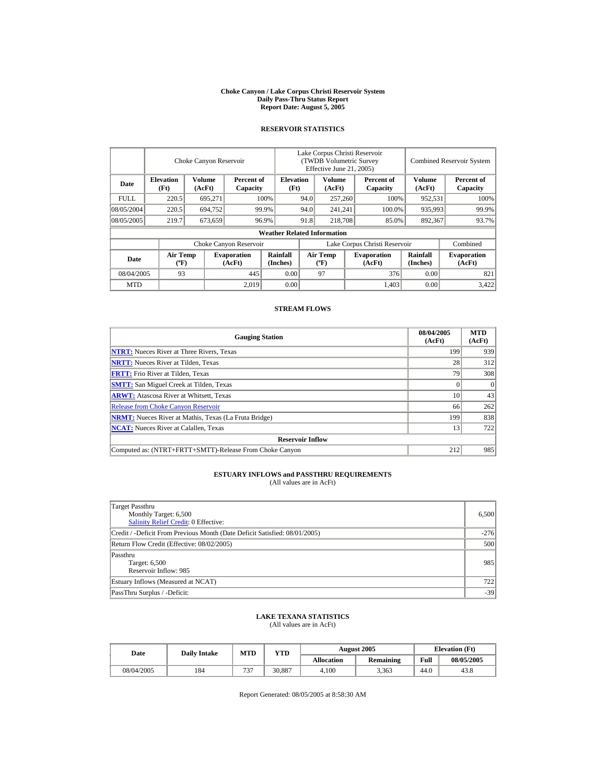#### **Choke Canyon / Lake Corpus Christi Reservoir System Daily Pass-Thru Status Report Report Date: August 5, 2005**

## **RESERVOIR STATISTICS**

|             |                                                                               | Choke Canyon Reservoir |                        | Lake Corpus Christi Reservoir<br><b>(TWDB Volumetric Survey)</b><br>Effective June 21, 2005) |                               |                                          |  |                              | <b>Combined Reservoir System</b> |                              |  |
|-------------|-------------------------------------------------------------------------------|------------------------|------------------------|----------------------------------------------------------------------------------------------|-------------------------------|------------------------------------------|--|------------------------------|----------------------------------|------------------------------|--|
| Date        | <b>Volume</b><br><b>Elevation</b><br>Percent of<br>(Ft)<br>(AcFt)<br>Capacity |                        |                        | <b>Elevation</b><br>(Ft)                                                                     |                               | Volume<br>(AcFt)                         |  | Percent of<br>Capacity       | <b>Volume</b><br>(AcFt)          | Percent of<br>Capacity       |  |
| <b>FULL</b> | 220.5                                                                         | 695,271                |                        | 100%                                                                                         | 94.0                          | 257,260                                  |  | 100%                         | 952,531                          | 100%                         |  |
| 08/05/2004  | 220.5<br>694,752                                                              |                        |                        | 99.9%                                                                                        |                               | 241,241                                  |  | 100.0%                       | 935,993                          | 99.9%                        |  |
| 08/05/2005  | 219.7                                                                         | 673,659                |                        | 96.9%                                                                                        | 91.8<br>218,708               |                                          |  | 85.0%                        | 892,367                          | 93.7%                        |  |
|             |                                                                               |                        |                        | <b>Weather Related Information</b>                                                           |                               |                                          |  |                              |                                  |                              |  |
|             |                                                                               |                        | Choke Canyon Reservoir |                                                                                              | Lake Corpus Christi Reservoir |                                          |  |                              |                                  | Combined                     |  |
| Date        | <b>Air Temp</b><br><b>Evaporation</b><br>$({}^{\circ}\mathrm{F})$<br>(AcFt)   |                        |                        | <b>Rainfall</b><br>(Inches)                                                                  |                               | <b>Air Temp</b><br>$({}^{\circ}{\rm F})$ |  | <b>Evaporation</b><br>(AcFt) | <b>Rainfall</b><br>(Inches)      | <b>Evaporation</b><br>(AcFt) |  |
|             | 93<br>08/04/2005                                                              |                        | 445                    | 0.00                                                                                         |                               | 97                                       |  | 376                          | 0.00                             | 821                          |  |
| <b>MTD</b>  |                                                                               |                        | 2,019                  | 0.00                                                                                         |                               |                                          |  | 1.403                        | 0.00                             | 3,422                        |  |

## **STREAM FLOWS**

| <b>Gauging Station</b>                                       | 08/04/2005<br>(AcFt) | <b>MTD</b><br>(AcFt) |
|--------------------------------------------------------------|----------------------|----------------------|
| <b>NTRT:</b> Nueces River at Three Rivers, Texas             | 199                  | 939                  |
| <b>NRTT:</b> Nueces River at Tilden, Texas                   | 28                   | 312                  |
| <b>FRTT:</b> Frio River at Tilden, Texas                     | 79                   | 308                  |
| <b>SMTT:</b> San Miguel Creek at Tilden, Texas               |                      | $\Omega$             |
| <b>ARWT:</b> Atascosa River at Whitsett, Texas               | 10                   | 43                   |
| <b>Release from Choke Canyon Reservoir</b>                   | 66                   | 262                  |
| <b>NRMT:</b> Nueces River at Mathis, Texas (La Fruta Bridge) | 199                  | 838                  |
| <b>NCAT:</b> Nueces River at Calallen, Texas                 | 13                   | 722                  |
| <b>Reservoir Inflow</b>                                      |                      |                      |
| Computed as: (NTRT+FRTT+SMTT)-Release From Choke Canyon      | 212                  | 985                  |

# **ESTUARY INFLOWS and PASSTHRU REQUIREMENTS**<br>(All values are in AcFt)

| Target Passthru<br>Monthly Target: 6,500<br>Salinity Relief Credit: 0 Effective: | 6,500  |
|----------------------------------------------------------------------------------|--------|
| Credit / -Deficit From Previous Month (Date Deficit Satisfied: 08/01/2005)       | $-276$ |
| Return Flow Credit (Effective: 08/02/2005)                                       | 500    |
| Passthru<br>Target: 6,500<br>Reservoir Inflow: 985                               | 985    |
| Estuary Inflows (Measured at NCAT)                                               | 722    |
| PassThru Surplus / -Deficit:                                                     | $-39$  |

## **LAKE TEXANA STATISTICS**

(All values are in AcFt)

| Date       | <b>Daily Intake</b> | MTD      | YTD    |                   | <b>August 2005</b> |      | <b>Elevation</b> (Ft) |  |
|------------|---------------------|----------|--------|-------------------|--------------------|------|-----------------------|--|
|            |                     |          |        | <b>Allocation</b> | <b>Remaining</b>   | Full | 08/05/2005            |  |
| 08/04/2005 | 184                 | 727<br>◡ | 30.887 | 4.100             | 3.363              | 44.0 | 43.8                  |  |

Report Generated: 08/05/2005 at 8:58:30 AM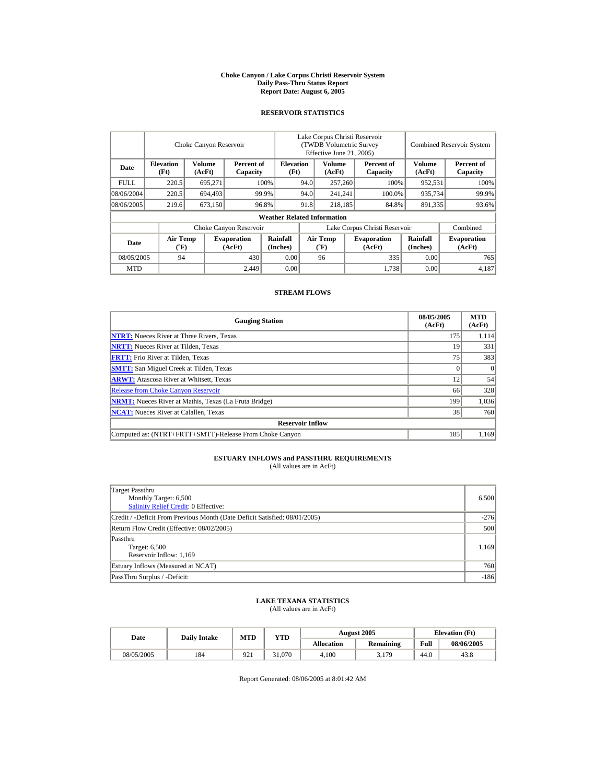#### **Choke Canyon / Lake Corpus Christi Reservoir System Daily Pass-Thru Status Report Report Date: August 6, 2005**

## **RESERVOIR STATISTICS**

|             |                                                         | Choke Canyon Reservoir |                        | Lake Corpus Christi Reservoir<br>(TWDB Volumetric Survey<br>Effective June 21, 2005) |                                |         |                                                   |                      | <b>Combined Reservoir System</b> |                        |
|-------------|---------------------------------------------------------|------------------------|------------------------|--------------------------------------------------------------------------------------|--------------------------------|---------|---------------------------------------------------|----------------------|----------------------------------|------------------------|
| Date        | <b>Elevation</b><br>(Ft)                                | Volume<br>(AcFt)       | Percent of<br>Capacity | <b>Elevation</b><br>(Ft)                                                             |                                |         | <b>Volume</b><br>Percent of<br>(AcFt)<br>Capacity |                      | Volume<br>(AcFt)                 | Percent of<br>Capacity |
| <b>FULL</b> | 220.5                                                   | 695.271                |                        | 100%                                                                                 | 94.0                           | 257,260 |                                                   | 100%                 | 952.531                          | 100%                   |
| 08/06/2004  | 220.5                                                   | 694,493                |                        | 99.9%                                                                                | 94.0                           | 241.241 |                                                   | 100.0%               | 935,734                          | 99.9%                  |
| 08/06/2005  | 219.6                                                   | 673,150                |                        | 96.8%                                                                                | 91.8                           | 218,185 |                                                   | 84.8%                | 891,335                          | 93.6%                  |
|             |                                                         |                        |                        | <b>Weather Related Information</b>                                                   |                                |         |                                                   |                      |                                  |                        |
|             |                                                         |                        | Choke Canyon Reservoir |                                                                                      | Lake Corpus Christi Reservoir  |         |                                                   |                      |                                  | Combined               |
| Date        | <b>Air Temp</b><br><b>Evaporation</b><br>(°F)<br>(AcFt) |                        | Rainfall<br>(Inches)   |                                                                                      | <b>Air Temp</b><br>$({}^o\!F)$ |         | <b>Evaporation</b><br>(AcFt)                      | Rainfall<br>(Inches) | <b>Evaporation</b><br>(AcFt)     |                        |
| 08/05/2005  | 430<br>94                                               |                        |                        | 0.00                                                                                 |                                | 96      |                                                   | 335                  | 0.00                             | 765                    |
| <b>MTD</b>  |                                                         |                        | 2.449                  | 0.00                                                                                 |                                |         |                                                   | 1.738                | 0.00                             | 4,187                  |

### **STREAM FLOWS**

| <b>Gauging Station</b>                                       | 08/05/2005<br>(AcFt) | <b>MTD</b><br>(AcFt) |  |  |  |  |
|--------------------------------------------------------------|----------------------|----------------------|--|--|--|--|
| <b>NTRT:</b> Nueces River at Three Rivers, Texas             | 175                  | 1,114                |  |  |  |  |
| <b>NRTT:</b> Nueces River at Tilden, Texas                   | 19                   | 331                  |  |  |  |  |
| <b>FRTT:</b> Frio River at Tilden, Texas                     | 75                   | 383                  |  |  |  |  |
| <b>SMTT:</b> San Miguel Creek at Tilden, Texas               |                      | $\Omega$             |  |  |  |  |
| <b>ARWT:</b> Atascosa River at Whitsett, Texas               | 12                   | 54                   |  |  |  |  |
| <b>Release from Choke Canyon Reservoir</b>                   | 66                   | 328                  |  |  |  |  |
| <b>NRMT:</b> Nueces River at Mathis, Texas (La Fruta Bridge) | 199                  | 1,036                |  |  |  |  |
| <b>NCAT:</b> Nueces River at Calallen, Texas                 | 38                   | 760                  |  |  |  |  |
| <b>Reservoir Inflow</b>                                      |                      |                      |  |  |  |  |
| Computed as: (NTRT+FRTT+SMTT)-Release From Choke Canyon      | 185                  | 1,169                |  |  |  |  |

## **ESTUARY INFLOWS and PASSTHRU REQUIREMENTS**<br>(All values are in AcFt)

| Target Passthru<br>Monthly Target: 6,500<br>Salinity Relief Credit: 0 Effective: | 6,500  |
|----------------------------------------------------------------------------------|--------|
| Credit / -Deficit From Previous Month (Date Deficit Satisfied: 08/01/2005)       | $-276$ |
| Return Flow Credit (Effective: 08/02/2005)                                       | 500    |
| Passthru<br>Target: 6,500<br>Reservoir Inflow: 1,169                             | 1,169  |
| Estuary Inflows (Measured at NCAT)                                               | 760    |
| PassThru Surplus / -Deficit:                                                     | $-186$ |

## **LAKE TEXANA STATISTICS** (All values are in AcFt)

| Date       | <b>Dailv Intake</b> | MTD | <b>YTD</b> |            | <b>August 2005</b> | <b>Elevation</b> (Ft) |            |
|------------|---------------------|-----|------------|------------|--------------------|-----------------------|------------|
|            |                     |     |            | Allocation | Remaining          | Full                  | 08/06/2005 |
| 08/05/2005 | 184                 | 921 | 31.070     | 4.100      | 3,179              | 44.0                  | 43.8       |

Report Generated: 08/06/2005 at 8:01:42 AM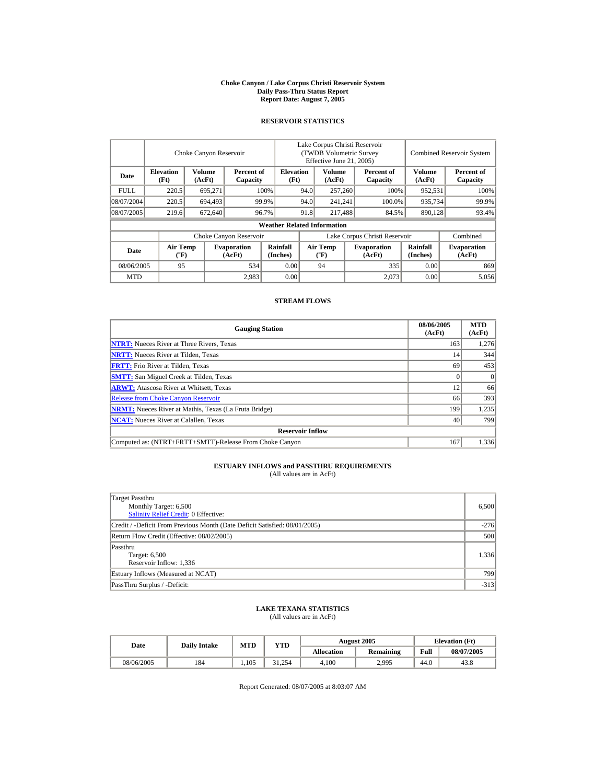#### **Choke Canyon / Lake Corpus Christi Reservoir System Daily Pass-Thru Status Report Report Date: August 7, 2005**

## **RESERVOIR STATISTICS**

|                        |                                    | Choke Canyon Reservoir  |                              |                          | Lake Corpus Christi Reservoir<br>(TWDB Volumetric Survey<br>Effective June 21, 2005) |                                    |                 |                              |                         | <b>Combined Reservoir System</b> |
|------------------------|------------------------------------|-------------------------|------------------------------|--------------------------|--------------------------------------------------------------------------------------|------------------------------------|-----------------|------------------------------|-------------------------|----------------------------------|
| Date                   | <b>Elevation</b><br>(Ft)           | <b>Volume</b><br>(AcFt) | Percent of<br>Capacity       | <b>Elevation</b><br>(Ft) |                                                                                      | <b>Volume</b><br>(AcFt)            |                 | Percent of<br>Capacity       | <b>Volume</b><br>(AcFt) | Percent of<br>Capacity           |
| <b>FULL</b>            | 220.5                              | 695.271                 |                              | 100%<br>94.0             |                                                                                      |                                    | 257,260<br>100% |                              | 952,531                 | 100%                             |
| 08/07/2004             | 220.5                              | 694,493                 |                              | 99.9%                    | 94.0                                                                                 | 241.241                            |                 | 100.0%                       | 935,734                 | 99.9%                            |
| 08/07/2005             | 219.6                              | 672,640                 |                              | 96.7%                    | 91.8                                                                                 | 217,488                            |                 | 84.5%                        | 890,128                 | 93.4%                            |
|                        | <b>Weather Related Information</b> |                         |                              |                          |                                                                                      |                                    |                 |                              |                         |                                  |
| Choke Canyon Reservoir |                                    |                         |                              |                          | Lake Corpus Christi Reservoir                                                        |                                    |                 |                              |                         | Combined                         |
| Date                   | Air Temp<br>$({}^o\mathrm{F})$     |                         | <b>Evaporation</b><br>(AcFt) | Rainfall<br>(Inches)     |                                                                                      | Air Temp<br>$({}^{\circ}\text{F})$ |                 | <b>Evaporation</b><br>(AcFt) | Rainfall<br>(Inches)    | <b>Evaporation</b><br>(AcFt)     |
| 08/06/2005             | 95                                 |                         | 534                          | 0.00                     |                                                                                      | 94                                 |                 | 335                          | 0.00                    | 869                              |
| <b>MTD</b>             |                                    |                         | 2,983                        | 0.00                     |                                                                                      |                                    |                 | 2.073                        | 0.00                    | 5,056                            |

## **STREAM FLOWS**

| <b>Gauging Station</b>                                       | 08/06/2005<br>(AcFt) | <b>MTD</b><br>(AcFt) |  |  |  |  |
|--------------------------------------------------------------|----------------------|----------------------|--|--|--|--|
| <b>NTRT:</b> Nueces River at Three Rivers, Texas             | 163                  | 1,276                |  |  |  |  |
| <b>NRTT:</b> Nueces River at Tilden, Texas                   | 14                   | 344                  |  |  |  |  |
| <b>FRTT:</b> Frio River at Tilden, Texas                     | 69                   | 453                  |  |  |  |  |
| <b>SMTT:</b> San Miguel Creek at Tilden, Texas               |                      | $\theta$             |  |  |  |  |
| <b>ARWT:</b> Atascosa River at Whitsett, Texas               | 12                   | 66                   |  |  |  |  |
| <b>Release from Choke Canyon Reservoir</b>                   | 66                   | 393                  |  |  |  |  |
| <b>NRMT:</b> Nueces River at Mathis, Texas (La Fruta Bridge) | 199                  | 1,235                |  |  |  |  |
| <b>NCAT:</b> Nueces River at Calallen, Texas                 | 40                   | 799                  |  |  |  |  |
| <b>Reservoir Inflow</b>                                      |                      |                      |  |  |  |  |
| Computed as: (NTRT+FRTT+SMTT)-Release From Choke Canyon      | 167                  | 1,336                |  |  |  |  |

## **ESTUARY INFLOWS and PASSTHRU REQUIREMENTS**<br>(All values are in AcFt)

| Target Passthru<br>Monthly Target: 6,500<br><b>Salinity Relief Credit: 0 Effective:</b> | 6,500  |
|-----------------------------------------------------------------------------------------|--------|
| Credit / -Deficit From Previous Month (Date Deficit Satisfied: 08/01/2005)              | $-276$ |
| Return Flow Credit (Effective: 08/02/2005)                                              | 500    |
| Passthru<br>Target: 6,500<br>Reservoir Inflow: 1,336                                    | 1,336  |
| Estuary Inflows (Measured at NCAT)                                                      | 799    |
| PassThru Surplus / -Deficit:                                                            | $-313$ |

## **LAKE TEXANA STATISTICS** (All values are in AcFt)

| Date       | <b>Daily Intake</b> | MTD   | <b>VTD</b> | <b>August 2005</b> |                  |      | <b>Elevation</b> (Ft) |
|------------|---------------------|-------|------------|--------------------|------------------|------|-----------------------|
|            |                     |       |            | Allocation         | <b>Remaining</b> | Full | 08/07/2005            |
| 08/06/2005 | 184                 | 1.105 | 31.254     | 4.100              | 2,995            | 44.0 | 43.8                  |

Report Generated: 08/07/2005 at 8:03:07 AM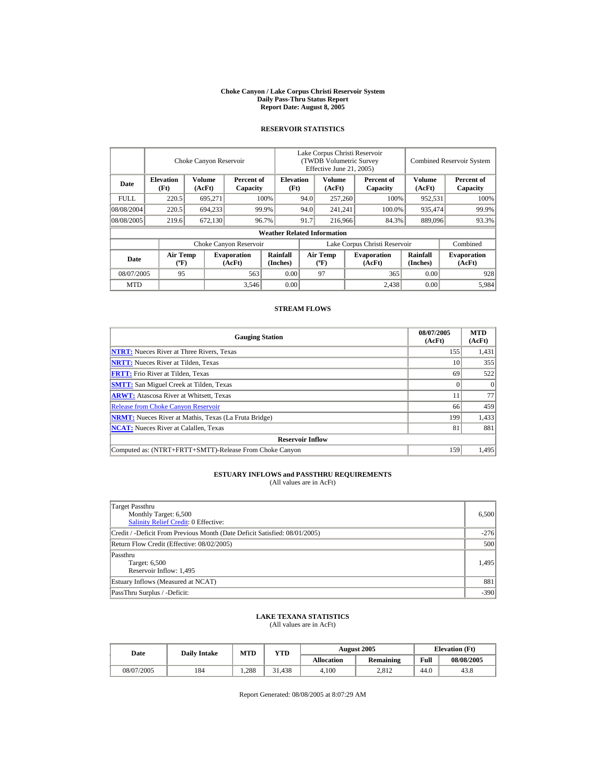#### **Choke Canyon / Lake Corpus Christi Reservoir System Daily Pass-Thru Status Report Report Date: August 8, 2005**

## **RESERVOIR STATISTICS**

|                        | Choke Canyon Reservoir                      |                  |                              |                                    | Lake Corpus Christi Reservoir<br>(TWDB Volumetric Survey<br>Effective June 21, 2005) |                                             |  |                              |                             | <b>Combined Reservoir System</b> |  |  |
|------------------------|---------------------------------------------|------------------|------------------------------|------------------------------------|--------------------------------------------------------------------------------------|---------------------------------------------|--|------------------------------|-----------------------------|----------------------------------|--|--|
| Date                   | <b>Elevation</b><br>(Ft)                    | Volume<br>(AcFt) | Percent of<br>Capacity       | <b>Elevation</b><br>(Ft)           |                                                                                      | Volume<br>(AcFt)                            |  | Percent of<br>Capacity       | Volume<br>(AcFt)            | Percent of<br>Capacity           |  |  |
| <b>FULL</b>            | 220.5                                       | 695,271          |                              | 100%                               | 94.0                                                                                 | 257,260                                     |  | 100%                         | 952,531                     | 100%                             |  |  |
| 08/08/2004             | 220.5                                       | 694,233          |                              | 99.9%                              | 94.0                                                                                 | 241,241                                     |  | 100.0%                       | 935,474                     | 99.9%                            |  |  |
| 08/08/2005             | 219.6                                       | 672,130          |                              | 96.7%                              | 91.7                                                                                 | 216,966                                     |  | 84.3%                        | 889,096                     | 93.3%                            |  |  |
|                        |                                             |                  |                              | <b>Weather Related Information</b> |                                                                                      |                                             |  |                              |                             |                                  |  |  |
| Choke Canyon Reservoir |                                             |                  |                              |                                    | Lake Corpus Christi Reservoir                                                        |                                             |  |                              |                             | Combined                         |  |  |
| Date                   | <b>Air Temp</b><br>$({}^{\circ}\mathrm{F})$ |                  | <b>Evaporation</b><br>(AcFt) | Rainfall<br>(Inches)               |                                                                                      | <b>Air Temp</b><br>$({}^{\circ}\mathbf{F})$ |  | <b>Evaporation</b><br>(AcFt) | <b>Rainfall</b><br>(Inches) | <b>Evaporation</b><br>(AcFt)     |  |  |
| 08/07/2005             | 95                                          |                  | 563                          | 0.00                               |                                                                                      | 97                                          |  | 365                          | 0.00                        | 928                              |  |  |
| <b>MTD</b>             |                                             |                  | 3,546                        | 0.00                               |                                                                                      |                                             |  | 2.438                        | 0.00                        | 5,984                            |  |  |

## **STREAM FLOWS**

| <b>Gauging Station</b>                                       | 08/07/2005<br>(AcFt) | <b>MTD</b><br>(AcFt) |  |  |  |  |
|--------------------------------------------------------------|----------------------|----------------------|--|--|--|--|
| <b>NTRT:</b> Nueces River at Three Rivers, Texas             | 155                  | 1,431                |  |  |  |  |
| <b>NRTT:</b> Nueces River at Tilden, Texas                   | 10                   | 355                  |  |  |  |  |
| <b>FRTT:</b> Frio River at Tilden, Texas                     | 69                   | 522                  |  |  |  |  |
| <b>SMTT:</b> San Miguel Creek at Tilden, Texas               |                      | $\Omega$             |  |  |  |  |
| <b>ARWT:</b> Atascosa River at Whitsett, Texas               |                      | 77                   |  |  |  |  |
| <b>Release from Choke Canyon Reservoir</b>                   | 66                   | 459                  |  |  |  |  |
| <b>NRMT:</b> Nueces River at Mathis, Texas (La Fruta Bridge) | 199                  | 1,433                |  |  |  |  |
| <b>NCAT:</b> Nueces River at Calallen, Texas                 | 81                   | 881                  |  |  |  |  |
| <b>Reservoir Inflow</b>                                      |                      |                      |  |  |  |  |
| Computed as: (NTRT+FRTT+SMTT)-Release From Choke Canyon      | 159                  | 1.495                |  |  |  |  |

## **ESTUARY INFLOWS and PASSTHRU REQUIREMENTS**<br>(All values are in AcFt)

| Target Passthru<br>Monthly Target: 6,500<br><b>Salinity Relief Credit: 0 Effective:</b> | 6.500  |
|-----------------------------------------------------------------------------------------|--------|
| Credit / -Deficit From Previous Month (Date Deficit Satisfied: 08/01/2005)              | $-276$ |
| Return Flow Credit (Effective: 08/02/2005)                                              | 500    |
| Passthru<br>Target: 6,500<br>Reservoir Inflow: 1,495                                    | 1,495  |
| Estuary Inflows (Measured at NCAT)                                                      | 881    |
| PassThru Surplus / -Deficit:                                                            | $-390$ |

## **LAKE TEXANA STATISTICS**

(All values are in AcFt)

| Date       | <b>Daily Intake</b> | MTD  | <b>VTD</b> |                   | <b>August 2005</b> |      | <b>Elevation</b> (Ft) |
|------------|---------------------|------|------------|-------------------|--------------------|------|-----------------------|
|            |                     |      |            | <b>Allocation</b> | <b>Remaining</b>   | Full | 08/08/2005            |
| 08/07/2005 | 184                 | .288 | 31.438     | 4.100             | 2.812              | 44.0 | 43.8                  |

Report Generated: 08/08/2005 at 8:07:29 AM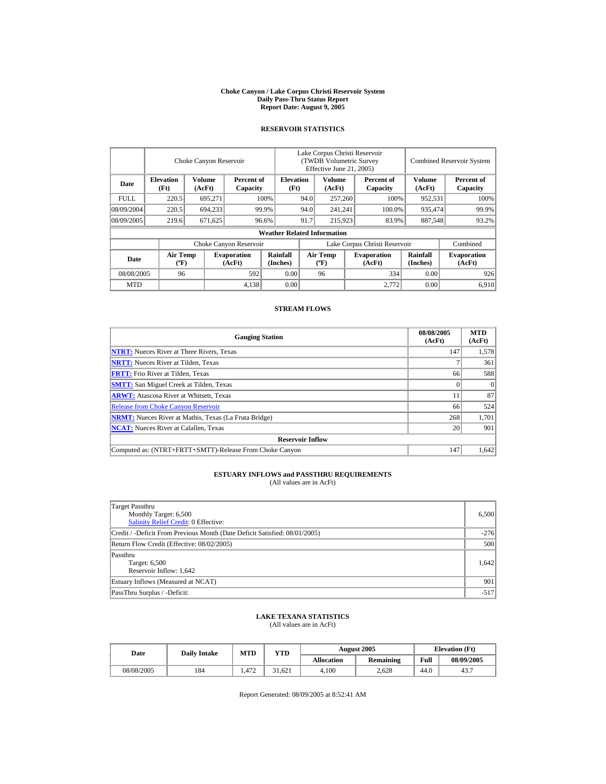#### **Choke Canyon / Lake Corpus Christi Reservoir System Daily Pass-Thru Status Report Report Date: August 9, 2005**

## **RESERVOIR STATISTICS**

|             | Choke Canyon Reservoir                      |                  |                              |                                    | Lake Corpus Christi Reservoir<br>(TWDB Volumetric Survey<br>Effective June 21, 2005) |                                             |                              |                        |                             | <b>Combined Reservoir System</b> |  |  |
|-------------|---------------------------------------------|------------------|------------------------------|------------------------------------|--------------------------------------------------------------------------------------|---------------------------------------------|------------------------------|------------------------|-----------------------------|----------------------------------|--|--|
| Date        | <b>Elevation</b><br>(Ft)                    | Volume<br>(AcFt) | Percent of<br>Capacity       | <b>Elevation</b><br>(Ft)           |                                                                                      | Volume<br>(AcFt)                            |                              | Percent of<br>Capacity | Volume<br>(AcFt)            | Percent of<br>Capacity           |  |  |
| <b>FULL</b> | 220.5                                       | 695,271          |                              | 100%                               | 94.0                                                                                 | 257,260                                     |                              | 100%                   | 952,531                     | 100%                             |  |  |
| 08/09/2004  | 220.5                                       | 694,233          |                              | 99.9%                              | 94.0                                                                                 | 241,241                                     |                              | 100.0%                 | 935,474                     | 99.9%                            |  |  |
| 08/09/2005  | 219.6                                       | 671,625          |                              | 96.6%                              | 91.7                                                                                 | 215,923                                     |                              | 83.9%                  | 887,548                     | 93.2%                            |  |  |
|             |                                             |                  |                              | <b>Weather Related Information</b> |                                                                                      |                                             |                              |                        |                             |                                  |  |  |
|             |                                             |                  | Choke Canyon Reservoir       |                                    | Lake Corpus Christi Reservoir                                                        |                                             |                              |                        |                             | Combined                         |  |  |
| Date        | <b>Air Temp</b><br>$({}^{\circ}\mathrm{F})$ |                  | <b>Evaporation</b><br>(AcFt) | Rainfall<br>(Inches)               |                                                                                      | <b>Air Temp</b><br>$({}^{\circ}\mathbf{F})$ | <b>Evaporation</b><br>(AcFt) |                        | <b>Rainfall</b><br>(Inches) | <b>Evaporation</b><br>(AcFt)     |  |  |
| 08/08/2005  | 96                                          |                  | 592                          | 0.00                               |                                                                                      | 96                                          |                              | 334                    | 0.00                        | 926                              |  |  |
| <b>MTD</b>  |                                             |                  | 4,138                        | 0.00                               |                                                                                      |                                             |                              | 2.772                  | 0.00                        | 6.910                            |  |  |

## **STREAM FLOWS**

| <b>Gauging Station</b>                                       | 08/08/2005<br>(AcFt) | <b>MTD</b><br>(AcFt) |
|--------------------------------------------------------------|----------------------|----------------------|
| <b>NTRT:</b> Nueces River at Three Rivers, Texas             | 147                  | 1,578                |
| <b>NRTT:</b> Nueces River at Tilden, Texas                   |                      | 361                  |
| <b>FRTT:</b> Frio River at Tilden, Texas                     | 66                   | 588                  |
| <b>SMTT:</b> San Miguel Creek at Tilden, Texas               |                      | $\Omega$             |
| <b>ARWT:</b> Atascosa River at Whitsett, Texas               |                      | 87                   |
| <b>Release from Choke Canyon Reservoir</b>                   | 66                   | 524                  |
| <b>NRMT:</b> Nueces River at Mathis, Texas (La Fruta Bridge) | 268                  | 1,701                |
| <b>NCAT:</b> Nueces River at Calallen. Texas                 | 20                   | 901                  |
| <b>Reservoir Inflow</b>                                      |                      |                      |
| Computed as: (NTRT+FRTT+SMTT)-Release From Choke Canyon      | 147                  | 1.642                |

## **ESTUARY INFLOWS and PASSTHRU REQUIREMENTS**<br>(All values are in AcFt)

| Target Passthru<br>Monthly Target: 6,500<br><b>Salinity Relief Credit: 0 Effective:</b> | 6.500  |
|-----------------------------------------------------------------------------------------|--------|
| Credit / -Deficit From Previous Month (Date Deficit Satisfied: 08/01/2005)              | $-276$ |
| Return Flow Credit (Effective: 08/02/2005)                                              | 500    |
| Passthru<br>Target: 6,500<br>Reservoir Inflow: 1,642                                    | 1,642  |
| Estuary Inflows (Measured at NCAT)                                                      | 901    |
| PassThru Surplus / -Deficit:                                                            | $-517$ |

## **LAKE TEXANA STATISTICS**

(All values are in AcFt)

| Date       | <b>Daily Intake</b> | <b>MTD</b><br>$_{\rm VTD}$ |        |            | <b>August 2005</b> | <b>Elevation</b> (Ft) |            |
|------------|---------------------|----------------------------|--------|------------|--------------------|-----------------------|------------|
|            |                     |                            |        | Allocation | <b>Remaining</b>   | Full                  | 08/09/2005 |
| 08/08/2005 | 184                 | 472                        | 31.621 | 4.100      | 2.628              | 44.0                  | 43.7       |

Report Generated: 08/09/2005 at 8:52:41 AM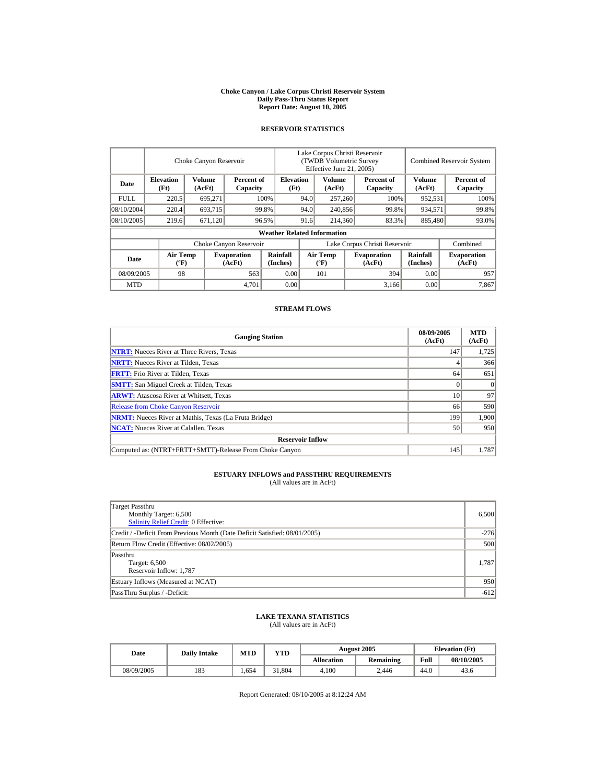#### **Choke Canyon / Lake Corpus Christi Reservoir System Daily Pass-Thru Status Report Report Date: August 10, 2005**

## **RESERVOIR STATISTICS**

|             | Choke Canyon Reservoir                      |                         |                              |                                    | Lake Corpus Christi Reservoir<br><b>(TWDB Volumetric Survey)</b><br>Effective June 21, 2005) |                                             |  |                              | <b>Combined Reservoir System</b> |                              |  |
|-------------|---------------------------------------------|-------------------------|------------------------------|------------------------------------|----------------------------------------------------------------------------------------------|---------------------------------------------|--|------------------------------|----------------------------------|------------------------------|--|
| Date        | <b>Elevation</b><br>(Ft)                    | <b>Volume</b><br>(AcFt) | Percent of<br>Capacity       | <b>Elevation</b><br>(Ft)           |                                                                                              | <b>Volume</b><br>(AcFt)                     |  | Percent of<br>Capacity       | Volume<br>(AcFt)                 | Percent of<br>Capacity       |  |
| <b>FULL</b> | 220.5                                       | 695,271                 |                              | 100%                               | 94.0                                                                                         | 257,260                                     |  | 100%                         | 952,531                          | 100%                         |  |
| 08/10/2004  | 220.4                                       | 693,715                 |                              | 99.8%                              | 94.0                                                                                         | 240,856                                     |  | 99.8%                        | 934,571                          | 99.8%                        |  |
| 08/10/2005  | 219.6                                       | 671,120                 |                              | 96.5%                              | 91.6                                                                                         | 214,360                                     |  | 83.3%                        | 885,480                          | 93.0%                        |  |
|             |                                             |                         |                              | <b>Weather Related Information</b> |                                                                                              |                                             |  |                              |                                  |                              |  |
|             |                                             |                         | Choke Canyon Reservoir       |                                    | Lake Corpus Christi Reservoir                                                                |                                             |  |                              |                                  | Combined                     |  |
| Date        | <b>Air Temp</b><br>$({}^{\circ}\mathrm{F})$ |                         | <b>Evaporation</b><br>(AcFt) | Rainfall<br>(Inches)               |                                                                                              | <b>Air Temp</b><br>$({}^{\circ}\mathbf{F})$ |  | <b>Evaporation</b><br>(AcFt) | <b>Rainfall</b><br>(Inches)      | <b>Evaporation</b><br>(AcFt) |  |
| 08/09/2005  | 98                                          |                         | 563                          | 0.00                               |                                                                                              | 101                                         |  | 394                          | 0.00                             | 957                          |  |
| <b>MTD</b>  |                                             |                         | 4,701                        | 0.00                               |                                                                                              |                                             |  | 3,166                        | 0.00                             | 7.867                        |  |

## **STREAM FLOWS**

| <b>Gauging Station</b>                                       | 08/09/2005<br>(AcFt) | <b>MTD</b><br>(AcFt) |
|--------------------------------------------------------------|----------------------|----------------------|
| <b>NTRT:</b> Nueces River at Three Rivers, Texas             | 147                  | 1,725                |
| <b>NRTT:</b> Nueces River at Tilden, Texas                   |                      | 366                  |
| <b>FRTT:</b> Frio River at Tilden, Texas                     | 64                   | 651                  |
| <b>SMTT:</b> San Miguel Creek at Tilden, Texas               |                      | $\Omega$             |
| <b>ARWT:</b> Atascosa River at Whitsett, Texas               | 10                   | 97                   |
| <b>Release from Choke Canyon Reservoir</b>                   | 66                   | 590                  |
| <b>NRMT:</b> Nueces River at Mathis, Texas (La Fruta Bridge) | 199                  | 1,900                |
| <b>NCAT:</b> Nueces River at Calallen, Texas                 | 50                   | 950                  |
| <b>Reservoir Inflow</b>                                      |                      |                      |
| Computed as: (NTRT+FRTT+SMTT)-Release From Choke Canyon      | 145                  | 1.787                |

# **ESTUARY INFLOWS and PASSTHRU REQUIREMENTS**<br>(All values are in AcFt)

| Target Passthru<br>Monthly Target: 6,500<br>Salinity Relief Credit: 0 Effective: | 6,500  |
|----------------------------------------------------------------------------------|--------|
| Credit / -Deficit From Previous Month (Date Deficit Satisfied: 08/01/2005)       | $-276$ |
| Return Flow Credit (Effective: 08/02/2005)                                       | 500    |
| Passthru<br>Target: 6,500<br>Reservoir Inflow: 1,787                             | 1.787  |
| Estuary Inflows (Measured at NCAT)                                               | 950    |
| PassThru Surplus / -Deficit:                                                     | $-612$ |

## **LAKE TEXANA STATISTICS**

(All values are in AcFt)

| Date | <b>Daily Intake</b> | MTD | YTD   |        | <b>August 2005</b> | <b>Elevation</b> (Ft) |      |            |
|------|---------------------|-----|-------|--------|--------------------|-----------------------|------|------------|
|      |                     |     |       |        | <b>Allocation</b>  | <b>Remaining</b>      | Full | 08/10/2005 |
|      | 08/09/2005          | 183 | .,654 | 31.804 | 4.100              | 2.446                 | 44.0 | 43.6       |

Report Generated: 08/10/2005 at 8:12:24 AM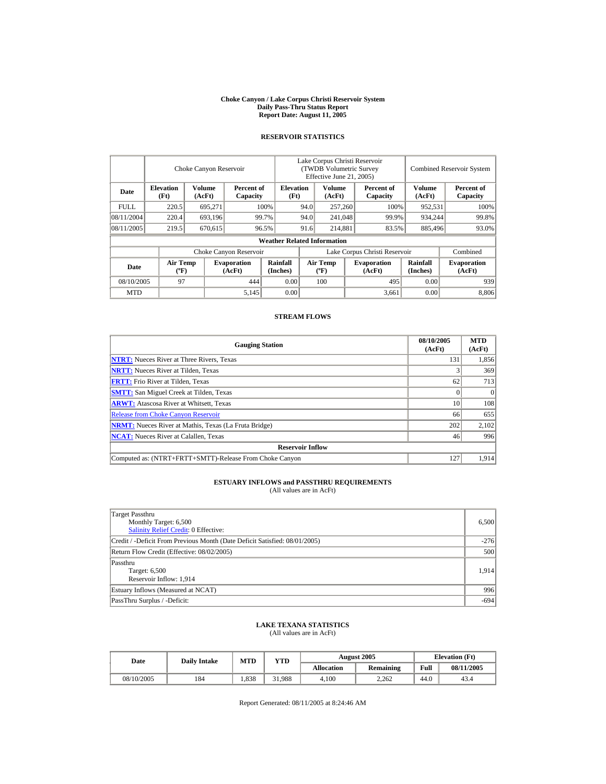#### **Choke Canyon / Lake Corpus Christi Reservoir System Daily Pass-Thru Status Report Report Date: August 11, 2005**

## **RESERVOIR STATISTICS**

|            |                                | Choke Canyon Reservoir  |                              |                                    | Lake Corpus Christi Reservoir<br>(TWDB Volumetric Survey)<br>Effective June 21, 2005) |                                |  |                              |                      | <b>Combined Reservoir System</b> |
|------------|--------------------------------|-------------------------|------------------------------|------------------------------------|---------------------------------------------------------------------------------------|--------------------------------|--|------------------------------|----------------------|----------------------------------|
| Date       | <b>Elevation</b><br>(Ft)       | <b>Volume</b><br>(AcFt) | Percent of<br>Capacity       | <b>Elevation</b><br>(Ft)           |                                                                                       | Volume<br>(AcFt)               |  | Percent of<br>Capacity       | Volume<br>(AcFt)     | Percent of<br>Capacity           |
| FULL.      | 220.5                          | 695.271                 |                              | 100%                               | 94.0                                                                                  | 257,260                        |  | 100%                         | 952,531              | 100%                             |
| 08/11/2004 | 220.4                          | 693,196                 |                              | 99.7%                              | 94.0                                                                                  | 241,048                        |  | 99.9%                        | 934.244              | 99.8%                            |
| 08/11/2005 | 219.5                          | 670,615                 |                              | 96.5%                              | 91.6                                                                                  | 214.881                        |  | 83.5%                        | 885,496              | 93.0%                            |
|            |                                |                         |                              | <b>Weather Related Information</b> |                                                                                       |                                |  |                              |                      |                                  |
|            |                                |                         | Choke Canyon Reservoir       |                                    | Lake Corpus Christi Reservoir                                                         |                                |  |                              |                      | Combined                         |
| Date       | Air Temp<br>$({}^o\mathrm{F})$ |                         | <b>Evaporation</b><br>(AcFt) | Rainfall<br>(Inches)               |                                                                                       | Air Temp<br>$({}^o\mathrm{F})$ |  | <b>Evaporation</b><br>(AcFt) | Rainfall<br>(Inches) | <b>Evaporation</b><br>(AcFt)     |
| 08/10/2005 | 97                             |                         | 444                          | 0.00                               |                                                                                       | 100                            |  | 495                          | 0.00                 | 939                              |
| <b>MTD</b> |                                |                         | 5,145                        | 0.00                               |                                                                                       |                                |  | 3.661                        | 0.00                 | 8,806                            |

## **STREAM FLOWS**

| <b>Gauging Station</b>                                       | 08/10/2005<br>(AcFt) | <b>MTD</b><br>(AcFt) |
|--------------------------------------------------------------|----------------------|----------------------|
| <b>NTRT:</b> Nueces River at Three Rivers, Texas             | 131                  | 1,856                |
| <b>NRTT:</b> Nueces River at Tilden, Texas                   |                      | 369                  |
| <b>FRTT:</b> Frio River at Tilden, Texas                     | 62                   | 713                  |
| <b>SMTT:</b> San Miguel Creek at Tilden, Texas               |                      | $\theta$             |
| <b>ARWT:</b> Atascosa River at Whitsett, Texas               | 10                   | 108                  |
| <b>Release from Choke Canyon Reservoir</b>                   | 66                   | 655                  |
| <b>NRMT:</b> Nueces River at Mathis, Texas (La Fruta Bridge) | 202                  | 2,102                |
| <b>NCAT:</b> Nueces River at Calallen, Texas                 | 46                   | 996                  |
| <b>Reservoir Inflow</b>                                      |                      |                      |
| Computed as: (NTRT+FRTT+SMTT)-Release From Choke Canyon      | 127                  | 1.914                |

## **ESTUARY INFLOWS and PASSTHRU REQUIREMENTS**<br>(All values are in AcFt)

| Target Passthru<br>Monthly Target: 6,500<br><b>Salinity Relief Credit: 0 Effective:</b> | 6,500  |
|-----------------------------------------------------------------------------------------|--------|
| Credit / -Deficit From Previous Month (Date Deficit Satisfied: 08/01/2005)              | $-276$ |
| Return Flow Credit (Effective: 08/02/2005)                                              | 500    |
| Passthru<br>Target: 6,500<br>Reservoir Inflow: 1,914                                    | 1,914  |
| Estuary Inflows (Measured at NCAT)                                                      | 996    |
| PassThru Surplus / -Deficit:                                                            | $-694$ |

### **LAKE TEXANA STATISTICS** (All values are in AcFt)

| Date       | <b>Daily Intake</b> | <b>MTD</b> | VTD    |            | <b>August 2005</b> | <b>Elevation</b> (Ft) |            |
|------------|---------------------|------------|--------|------------|--------------------|-----------------------|------------|
|            |                     |            |        | Allocation | <b>Remaining</b>   | Full                  | 08/11/2005 |
| 08/10/2005 | 184                 | 1.838      | 31.988 | 4.100      | 2.262              | 44.0                  | 43.4       |

Report Generated: 08/11/2005 at 8:24:46 AM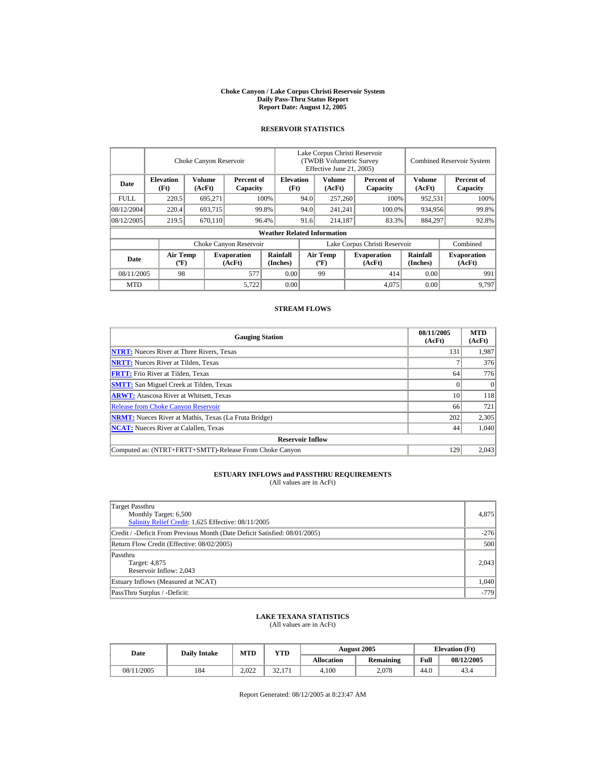#### **Choke Canyon / Lake Corpus Christi Reservoir System Daily Pass-Thru Status Report Report Date: August 12, 2005**

## **RESERVOIR STATISTICS**

|             |                                             | Choke Canyon Reservoir  |                              |                                    |                               | Lake Corpus Christi Reservoir<br><b>(TWDB Volumetric Survey)</b><br>Effective June 21, 2005) |  |                              | <b>Combined Reservoir System</b> |                              |
|-------------|---------------------------------------------|-------------------------|------------------------------|------------------------------------|-------------------------------|----------------------------------------------------------------------------------------------|--|------------------------------|----------------------------------|------------------------------|
| Date        | <b>Elevation</b><br>(Ft)                    | <b>Volume</b><br>(AcFt) | Percent of<br>Capacity       | <b>Elevation</b><br>(Ft)           |                               | Volume<br>(AcFt)                                                                             |  | Percent of<br>Capacity       | <b>Volume</b><br>(AcFt)          | Percent of<br>Capacity       |
| <b>FULL</b> | 220.5                                       | 695,271                 |                              | 100%                               | 94.0                          | 257,260                                                                                      |  | 100%                         | 952,531                          | 100%                         |
| 08/12/2004  | 220.4                                       | 693,715                 |                              | 99.8%                              | 94.0                          | 241,241                                                                                      |  | 100.0%                       | 934,956                          | 99.8%                        |
| 08/12/2005  | 219.5                                       | 670,110                 |                              | 96.4%                              | 91.6                          | 214,187                                                                                      |  | 83.3%                        | 884,297                          | 92.8%                        |
|             |                                             |                         |                              | <b>Weather Related Information</b> |                               |                                                                                              |  |                              |                                  |                              |
|             |                                             |                         | Choke Canyon Reservoir       |                                    | Lake Corpus Christi Reservoir |                                                                                              |  |                              |                                  | Combined                     |
| Date        | <b>Air Temp</b><br>$({}^{\circ}\mathrm{F})$ |                         | <b>Evaporation</b><br>(AcFt) | <b>Rainfall</b><br>(Inches)        |                               | <b>Air Temp</b><br>$({}^{\circ}{\rm F})$                                                     |  | <b>Evaporation</b><br>(AcFt) | <b>Rainfall</b><br>(Inches)      | <b>Evaporation</b><br>(AcFt) |
| 08/11/2005  | 98                                          |                         | 577                          | 0.00                               |                               | 99                                                                                           |  | 414                          | 0.00                             | 991                          |
| <b>MTD</b>  |                                             |                         | 5,722                        | 0.00                               |                               |                                                                                              |  | 4,075                        | 0.00                             | 9.797                        |

## **STREAM FLOWS**

| <b>Gauging Station</b>                                       | 08/11/2005<br>(AcFt) | <b>MTD</b><br>(AcFt) |
|--------------------------------------------------------------|----------------------|----------------------|
| <b>NTRT:</b> Nueces River at Three Rivers, Texas             | 131                  | 1,987                |
| <b>NRTT:</b> Nueces River at Tilden, Texas                   |                      | 376                  |
| <b>FRTT:</b> Frio River at Tilden, Texas                     | 64                   | 776                  |
| <b>SMTT:</b> San Miguel Creek at Tilden, Texas               |                      | $\Omega$             |
| <b>ARWT:</b> Atascosa River at Whitsett, Texas               | 10                   | 118                  |
| <b>Release from Choke Canyon Reservoir</b>                   | 66                   | 721                  |
| <b>NRMT:</b> Nueces River at Mathis, Texas (La Fruta Bridge) | 202                  | 2,305                |
| <b>NCAT:</b> Nueces River at Calallen, Texas                 | 44                   | 1,040                |
| <b>Reservoir Inflow</b>                                      |                      |                      |
| Computed as: (NTRT+FRTT+SMTT)-Release From Choke Canyon      | 129                  | 2.043                |

# **ESTUARY INFLOWS and PASSTHRU REQUIREMENTS**<br>(All values are in AcFt)

| Target Passthru<br>Monthly Target: 6,500<br>Salinity Relief Credit: 1,625 Effective: 08/11/2005 | 4,875  |
|-------------------------------------------------------------------------------------------------|--------|
| Credit / -Deficit From Previous Month (Date Deficit Satisfied: 08/01/2005)                      | $-276$ |
| Return Flow Credit (Effective: 08/02/2005)                                                      | 500    |
| Passthru<br>Target: 4,875<br>Reservoir Inflow: 2,043                                            | 2,043  |
| Estuary Inflows (Measured at NCAT)                                                              | 1,040  |
| PassThru Surplus / -Deficit:                                                                    | $-779$ |

## **LAKE TEXANA STATISTICS**

(All values are in AcFt)

| Date       | <b>Daily Intake</b> | <b>MTD</b> | VTD    |            | <b>August 2005</b> | <b>Elevation</b> (Ft) |            |
|------------|---------------------|------------|--------|------------|--------------------|-----------------------|------------|
|            |                     |            |        | Allocation | <b>Remaining</b>   | Full                  | 08/12/2005 |
| 08/11/2005 | 184                 | 2.022      | 32.171 | 4.100      | 2.078              | 44.0                  | 43.4       |

Report Generated: 08/12/2005 at 8:23:47 AM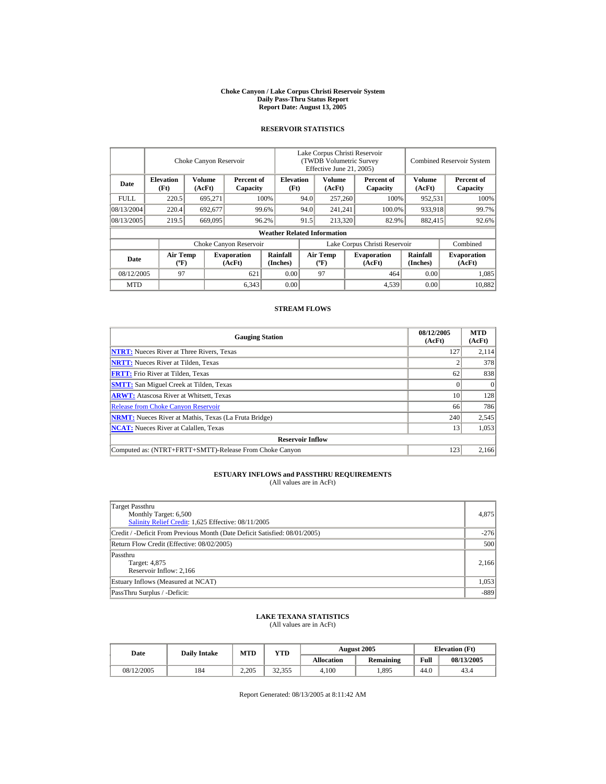#### **Choke Canyon / Lake Corpus Christi Reservoir System Daily Pass-Thru Status Report Report Date: August 13, 2005**

## **RESERVOIR STATISTICS**

|            |                                             | Choke Canyon Reservoir |                              |                                    |                               | Lake Corpus Christi Reservoir<br>(TWDB Volumetric Survey<br>Effective June 21, 2005) |  |                              |                             | <b>Combined Reservoir System</b> |
|------------|---------------------------------------------|------------------------|------------------------------|------------------------------------|-------------------------------|--------------------------------------------------------------------------------------|--|------------------------------|-----------------------------|----------------------------------|
| Date       | <b>Elevation</b><br>(Ft)                    | Volume<br>(AcFt)       | Percent of<br>Capacity       | <b>Elevation</b><br>(Ft)           |                               | Volume<br>(AcFt)                                                                     |  | Percent of<br>Capacity       | <b>Volume</b><br>(AcFt)     | Percent of<br>Capacity           |
| FULL.      | 220.5                                       | 695,271                |                              | 100%                               | 94.0                          | 257,260                                                                              |  | 100%                         | 952,531                     | 100%                             |
| 08/13/2004 | 220.4                                       | 692,677                |                              | 99.6%                              | 94.0                          | 241,241                                                                              |  | 100.0%                       | 933,918                     | 99.7%                            |
| 08/13/2005 | 219.5                                       | 669,095                |                              | 96.2%                              | 91.5                          | 213,320                                                                              |  | 82.9%                        | 882,415                     | 92.6%                            |
|            |                                             |                        |                              | <b>Weather Related Information</b> |                               |                                                                                      |  |                              |                             |                                  |
|            |                                             |                        | Choke Canyon Reservoir       |                                    | Lake Corpus Christi Reservoir |                                                                                      |  |                              |                             | Combined                         |
| Date       | <b>Air Temp</b><br>$({}^{\circ}\mathrm{F})$ |                        | <b>Evaporation</b><br>(AcFt) | <b>Rainfall</b><br>(Inches)        |                               | <b>Air Temp</b><br>$({}^{\circ}{\rm F})$                                             |  | <b>Evaporation</b><br>(AcFt) | <b>Rainfall</b><br>(Inches) | <b>Evaporation</b><br>(AcFt)     |
| 08/12/2005 | 97                                          |                        | 621                          | 0.00                               |                               | 97                                                                                   |  | 464                          | 0.00                        | 1.085                            |
| <b>MTD</b> |                                             |                        | 6,343                        | 0.00                               |                               |                                                                                      |  | 4,539                        | 0.00                        | 10.882                           |

## **STREAM FLOWS**

| <b>Gauging Station</b>                                       | 08/12/2005<br>(AcFt) | <b>MTD</b><br>(AcFt) |
|--------------------------------------------------------------|----------------------|----------------------|
| <b>NTRT:</b> Nueces River at Three Rivers, Texas             | 127                  | 2,114                |
| <b>NRTT:</b> Nueces River at Tilden, Texas                   |                      | 378                  |
| <b>FRTT:</b> Frio River at Tilden, Texas                     | 62                   | 838                  |
| <b>SMTT:</b> San Miguel Creek at Tilden, Texas               |                      | $\Omega$             |
| <b>ARWT:</b> Atascosa River at Whitsett, Texas               | 10                   | 128                  |
| <b>Release from Choke Canyon Reservoir</b>                   | 66                   | 786                  |
| <b>NRMT:</b> Nueces River at Mathis, Texas (La Fruta Bridge) | 240                  | 2,545                |
| <b>NCAT:</b> Nueces River at Calallen, Texas                 | 13                   | 1,053                |
| <b>Reservoir Inflow</b>                                      |                      |                      |
| Computed as: (NTRT+FRTT+SMTT)-Release From Choke Canyon      | 123                  | 2.166                |

# **ESTUARY INFLOWS and PASSTHRU REQUIREMENTS**<br>(All values are in AcFt)

| Target Passthru<br>Monthly Target: 6,500<br>Salinity Relief Credit: 1,625 Effective: 08/11/2005 | 4,875  |
|-------------------------------------------------------------------------------------------------|--------|
| Credit / -Deficit From Previous Month (Date Deficit Satisfied: 08/01/2005)                      | $-276$ |
| Return Flow Credit (Effective: 08/02/2005)                                                      | 500    |
| Passthru<br>Target: 4,875<br>Reservoir Inflow: 2,166                                            | 2,166  |
| Estuary Inflows (Measured at NCAT)                                                              | 1,053  |
| PassThru Surplus / -Deficit:                                                                    | $-889$ |

## **LAKE TEXANA STATISTICS**

(All values are in AcFt)

| Date       | <b>Daily Intake</b> | <b>MTD</b> | VTD    |            | August 2005      | <b>Elevation</b> (Ft) |            |
|------------|---------------------|------------|--------|------------|------------------|-----------------------|------------|
|            |                     |            |        | Allocation | <b>Remaining</b> | Full                  | 08/13/2005 |
| 08/12/2005 | 184                 | 2.205      | 32,355 | 4.100      | .895             | 44.0                  | 43.4       |

Report Generated: 08/13/2005 at 8:11:42 AM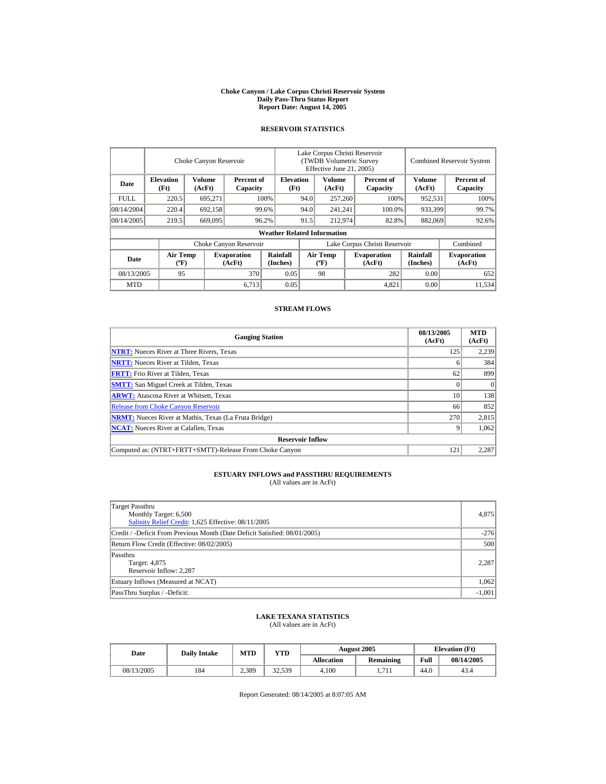#### **Choke Canyon / Lake Corpus Christi Reservoir System Daily Pass-Thru Status Report Report Date: August 14, 2005**

## **RESERVOIR STATISTICS**

|             |                                             | Choke Canyon Reservoir |                              |                                    |                               | Lake Corpus Christi Reservoir<br>(TWDB Volumetric Survey<br>Effective June 21, 2005) |  |                              |                      | <b>Combined Reservoir System</b> |  |  |
|-------------|---------------------------------------------|------------------------|------------------------------|------------------------------------|-------------------------------|--------------------------------------------------------------------------------------|--|------------------------------|----------------------|----------------------------------|--|--|
| Date        | <b>Elevation</b><br>(Ft)                    | Volume<br>(AcFt)       | Percent of<br>Capacity       | <b>Elevation</b><br>(Ft)           |                               | Volume<br>(AcFt)                                                                     |  | Percent of<br>Capacity       | Volume<br>(AcFt)     | Percent of<br>Capacity           |  |  |
| <b>FULL</b> | 220.5                                       | 695,271                |                              | 100%                               | 94.0                          | 257,260                                                                              |  | 100%                         | 952,531              | 100%                             |  |  |
| 08/14/2004  | 220.4                                       | 692,158                |                              | 99.6%                              | 94.0                          | 241,241                                                                              |  | 100.0%                       | 933,399              | 99.7%                            |  |  |
| 08/14/2005  | 219.5                                       | 669,095                |                              | 96.2%                              | 91.5                          | 212,974                                                                              |  | 82.8%                        | 882,069              | 92.6%                            |  |  |
|             |                                             |                        |                              | <b>Weather Related Information</b> |                               |                                                                                      |  |                              |                      |                                  |  |  |
|             |                                             |                        | Choke Canyon Reservoir       |                                    | Lake Corpus Christi Reservoir |                                                                                      |  |                              |                      | Combined                         |  |  |
| Date        | <b>Air Temp</b><br>$({}^{\circ}\mathrm{F})$ |                        | <b>Evaporation</b><br>(AcFt) | Rainfall<br>(Inches)               |                               | <b>Air Temp</b><br>$({}^{\circ}\mathbf{F})$                                          |  | <b>Evaporation</b><br>(AcFt) | Rainfall<br>(Inches) | <b>Evaporation</b><br>(AcFt)     |  |  |
| 08/13/2005  | 95                                          |                        | 370                          | 0.05                               |                               | 98                                                                                   |  | 282                          | 0.00                 | 652                              |  |  |
| <b>MTD</b>  |                                             |                        | 6,713                        | 0.05                               |                               |                                                                                      |  | 4,821                        | 0.00                 | 11.534                           |  |  |

## **STREAM FLOWS**

| <b>Gauging Station</b>                                       | 08/13/2005<br>(AcFt) | <b>MTD</b><br>(AcFt) |
|--------------------------------------------------------------|----------------------|----------------------|
| <b>NTRT:</b> Nueces River at Three Rivers, Texas             | 125                  | 2,239                |
| <b>NRTT:</b> Nueces River at Tilden, Texas                   | o                    | 384                  |
| <b>FRTT:</b> Frio River at Tilden, Texas                     | 62                   | 899                  |
| <b>SMTT:</b> San Miguel Creek at Tilden, Texas               |                      | $\Omega$             |
| <b>ARWT:</b> Atascosa River at Whitsett, Texas               | 10                   | 138                  |
| <b>Release from Choke Canyon Reservoir</b>                   | 66                   | 852                  |
| <b>NRMT:</b> Nueces River at Mathis, Texas (La Fruta Bridge) | 270                  | 2,815                |
| <b>NCAT:</b> Nueces River at Calallen, Texas                 |                      | 1,062                |
| <b>Reservoir Inflow</b>                                      |                      |                      |
| Computed as: (NTRT+FRTT+SMTT)-Release From Choke Canyon      | 121                  | 2,287                |

# **ESTUARY INFLOWS and PASSTHRU REQUIREMENTS**<br>(All values are in AcFt)

| Target Passthru<br>Monthly Target: 6,500<br>Salinity Relief Credit: 1,625 Effective: 08/11/2005 | 4,875    |
|-------------------------------------------------------------------------------------------------|----------|
| Credit / -Deficit From Previous Month (Date Deficit Satisfied: 08/01/2005)                      | $-276$   |
| Return Flow Credit (Effective: 08/02/2005)                                                      | 500      |
| Passthru<br>Target: 4,875<br>Reservoir Inflow: 2,287                                            | 2,287    |
| Estuary Inflows (Measured at NCAT)                                                              | 1,062    |
| PassThru Surplus / -Deficit:                                                                    | $-1,001$ |

## **LAKE TEXANA STATISTICS**

(All values are in AcFt)

| Date       | <b>Daily Intake</b> | <b>MTD</b> | VTD    |            | August 2005      | <b>Elevation</b> (Ft) |            |
|------------|---------------------|------------|--------|------------|------------------|-----------------------|------------|
|            |                     |            |        | Allocation | <b>Remaining</b> | Full                  | 08/14/2005 |
| 08/13/2005 | 184                 | 2,389      | 32,539 | 4.100      | 1.711            | 44.0                  | 43.4       |

Report Generated: 08/14/2005 at 8:07:05 AM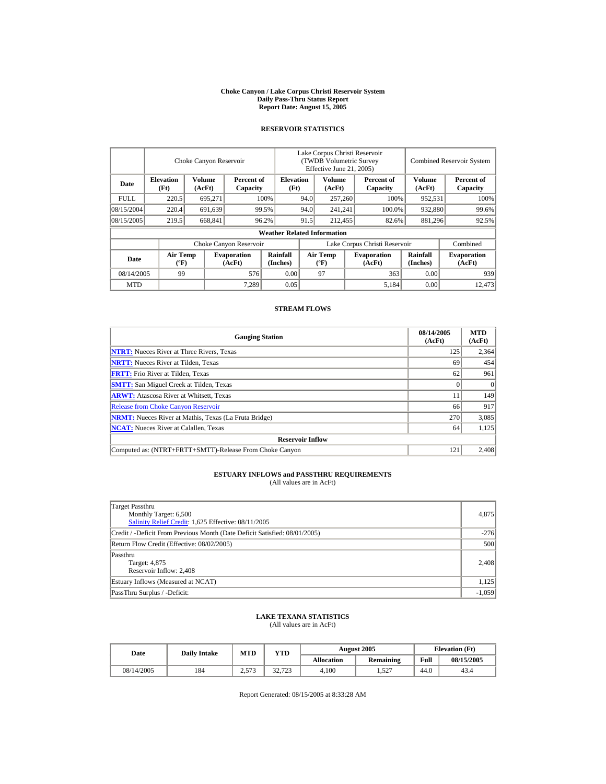#### **Choke Canyon / Lake Corpus Christi Reservoir System Daily Pass-Thru Status Report Report Date: August 15, 2005**

## **RESERVOIR STATISTICS**

|             |                                             | Choke Canyon Reservoir  |                              |                                    | Lake Corpus Christi Reservoir<br><b>(TWDB Volumetric Survey)</b><br>Effective June 21, 2005) |                                  |  |                              | <b>Combined Reservoir System</b> |                              |
|-------------|---------------------------------------------|-------------------------|------------------------------|------------------------------------|----------------------------------------------------------------------------------------------|----------------------------------|--|------------------------------|----------------------------------|------------------------------|
| Date        | <b>Elevation</b><br>(Ft)                    | <b>Volume</b><br>(AcFt) | Percent of<br>Capacity       | <b>Elevation</b><br>(Ft)           |                                                                                              | <b>Volume</b><br>(AcFt)          |  | Percent of<br>Capacity       | Volume<br>(AcFt)                 | Percent of<br>Capacity       |
| <b>FULL</b> | 220.5                                       | 695,271                 |                              | 100%                               | 94.0                                                                                         | 257,260                          |  | 100%                         | 952,531                          | 100%                         |
| 08/15/2004  | 220.4                                       | 691,639                 |                              | 99.5%                              | 94.0                                                                                         | 241,241                          |  | 100.0%                       | 932,880                          | 99.6%                        |
| 08/15/2005  | 219.5                                       | 668,841                 |                              | 96.2%                              | 91.5                                                                                         | 212,455                          |  | 82.6%                        | 881,296                          | 92.5%                        |
|             |                                             |                         |                              | <b>Weather Related Information</b> |                                                                                              |                                  |  |                              |                                  |                              |
|             |                                             |                         | Choke Canyon Reservoir       |                                    | Lake Corpus Christi Reservoir                                                                |                                  |  |                              |                                  | Combined                     |
| Date        | <b>Air Temp</b><br>$({}^{\circ}\mathrm{F})$ |                         | <b>Evaporation</b><br>(AcFt) | Rainfall<br>(Inches)               |                                                                                              | <b>Air Temp</b><br>$(^{\circ}F)$ |  | <b>Evaporation</b><br>(AcFt) | <b>Rainfall</b><br>(Inches)      | <b>Evaporation</b><br>(AcFt) |
| 08/14/2005  | 99                                          |                         | 576                          | 0.00                               |                                                                                              | 97                               |  | 363                          | 0.00                             | 939                          |
| <b>MTD</b>  |                                             |                         | 7.289                        | 0.05                               |                                                                                              |                                  |  | 5,184                        | 0.00                             | 12.473                       |

## **STREAM FLOWS**

| <b>Gauging Station</b>                                       | 08/14/2005<br>(AcFt) | <b>MTD</b><br>(AcFt) |
|--------------------------------------------------------------|----------------------|----------------------|
| <b>NTRT:</b> Nueces River at Three Rivers, Texas             | 125                  | 2,364                |
| <b>NRTT:</b> Nueces River at Tilden, Texas                   | 69                   | 454                  |
| <b>FRTT:</b> Frio River at Tilden, Texas                     | 62                   | 961                  |
| <b>SMTT:</b> San Miguel Creek at Tilden, Texas               |                      | $\Omega$             |
| <b>ARWT:</b> Atascosa River at Whitsett, Texas               |                      | 149                  |
| <b>Release from Choke Canyon Reservoir</b>                   | 66                   | 917                  |
| <b>NRMT:</b> Nueces River at Mathis, Texas (La Fruta Bridge) | 270                  | 3,085                |
| <b>NCAT:</b> Nueces River at Calallen, Texas                 | 64                   | 1,125                |
| <b>Reservoir Inflow</b>                                      |                      |                      |
| Computed as: (NTRT+FRTT+SMTT)-Release From Choke Canyon      | $12^{1}$             | 2.408                |

# **ESTUARY INFLOWS and PASSTHRU REQUIREMENTS**<br>(All values are in AcFt)

| Target Passthru<br>Monthly Target: 6,500<br>Salinity Relief Credit: 1,625 Effective: 08/11/2005 | 4,875    |
|-------------------------------------------------------------------------------------------------|----------|
| Credit / -Deficit From Previous Month (Date Deficit Satisfied: 08/01/2005)                      | $-276$   |
| Return Flow Credit (Effective: 08/02/2005)                                                      | 500      |
| Passthru<br>Target: 4,875<br>Reservoir Inflow: 2,408                                            | 2,408    |
| Estuary Inflows (Measured at NCAT)                                                              | 1,125    |
| PassThru Surplus / -Deficit:                                                                    | $-1,059$ |

## **LAKE TEXANA STATISTICS**

(All values are in AcFt)

| Date       | <b>Daily Intake</b> | <b>MTD</b> | VTD    |            | <b>August 2005</b> | <b>Elevation</b> (Ft) |            |
|------------|---------------------|------------|--------|------------|--------------------|-----------------------|------------|
|            |                     |            |        | Allocation | <b>Remaining</b>   | Full                  | 08/15/2005 |
| 08/14/2005 | 184                 | 572<br>رب  | 32.723 | 4.100      | . 527              | 44.0                  | 43.4       |

Report Generated: 08/15/2005 at 8:33:28 AM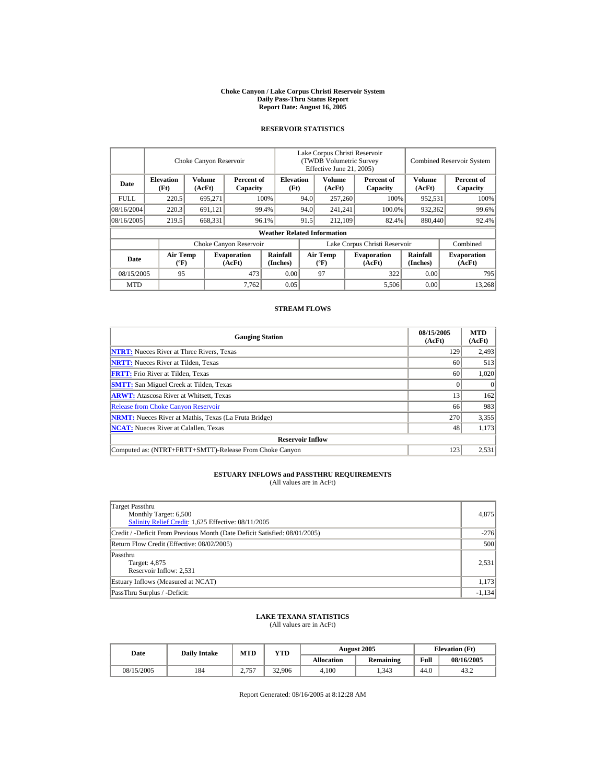#### **Choke Canyon / Lake Corpus Christi Reservoir System Daily Pass-Thru Status Report Report Date: August 16, 2005**

## **RESERVOIR STATISTICS**

|             |                                       | Choke Canyon Reservoir |                              |                                    | Lake Corpus Christi Reservoir<br>(TWDB Volumetric Survey<br>Effective June 21, 2005) |                                          |  |                              | <b>Combined Reservoir System</b> |                              |
|-------------|---------------------------------------|------------------------|------------------------------|------------------------------------|--------------------------------------------------------------------------------------|------------------------------------------|--|------------------------------|----------------------------------|------------------------------|
| Date        | <b>Elevation</b><br>(Ft)              | Volume<br>(AcFt)       | Percent of<br>Capacity       | <b>Elevation</b><br>(Ft)           |                                                                                      | Volume<br>(AcFt)                         |  | Percent of<br>Capacity       | Volume<br>(AcFt)                 | Percent of<br>Capacity       |
| <b>FULL</b> | 220.5                                 | 695,271                |                              | 100%                               | 94.0                                                                                 | 257,260                                  |  | 100%                         | 952,531                          | 100%                         |
| 08/16/2004  | 220.3                                 | 691,121                |                              | 99.4%                              | 94.0                                                                                 | 241,241                                  |  | 100.0%                       | 932,362                          | 99.6%                        |
| 08/16/2005  | 219.5                                 | 668,331                |                              | 96.1%                              | 91.5                                                                                 | 212,109                                  |  | 82.4%                        | 880,440                          | 92.4%                        |
|             |                                       |                        |                              | <b>Weather Related Information</b> |                                                                                      |                                          |  |                              |                                  |                              |
|             |                                       |                        | Choke Canyon Reservoir       |                                    | Lake Corpus Christi Reservoir                                                        |                                          |  |                              |                                  | Combined                     |
| Date        | <b>Air Temp</b><br>$({}^o\mathrm{F})$ |                        | <b>Evaporation</b><br>(AcFt) | <b>Rainfall</b><br>(Inches)        |                                                                                      | <b>Air Temp</b><br>$({}^{\circ}{\rm F})$ |  | <b>Evaporation</b><br>(AcFt) | <b>Rainfall</b><br>(Inches)      | <b>Evaporation</b><br>(AcFt) |
| 08/15/2005  | 95                                    |                        | 473                          | 0.00                               |                                                                                      | 97                                       |  | 322                          | 0.00                             | 795                          |
| <b>MTD</b>  |                                       |                        | 7,762                        | 0.05                               |                                                                                      |                                          |  | 5,506                        | 0.00                             | 13.268                       |

## **STREAM FLOWS**

| <b>Gauging Station</b>                                       | 08/15/2005<br>(AcFt) | <b>MTD</b><br>(AcFt) |
|--------------------------------------------------------------|----------------------|----------------------|
| <b>NTRT:</b> Nueces River at Three Rivers, Texas             | 129                  | 2,493                |
| <b>NRTT:</b> Nueces River at Tilden, Texas                   | 60                   | 513                  |
| <b>FRTT:</b> Frio River at Tilden, Texas                     | 60                   | 1,020                |
| <b>SMTT:</b> San Miguel Creek at Tilden, Texas               |                      | $\Omega$             |
| <b>ARWT:</b> Atascosa River at Whitsett, Texas               | 13                   | 162                  |
| <b>Release from Choke Canyon Reservoir</b>                   | 66                   | 983                  |
| <b>NRMT:</b> Nueces River at Mathis, Texas (La Fruta Bridge) | 270                  | 3,355                |
| <b>NCAT:</b> Nueces River at Calallen. Texas                 | 48                   | 1,173                |
| <b>Reservoir Inflow</b>                                      |                      |                      |
| Computed as: (NTRT+FRTT+SMTT)-Release From Choke Canyon      | 123                  | 2,531                |

# **ESTUARY INFLOWS and PASSTHRU REQUIREMENTS**<br>(All values are in AcFt)

| Target Passthru<br>Monthly Target: 6,500<br>Salinity Relief Credit: 1,625 Effective: 08/11/2005 | 4,875    |
|-------------------------------------------------------------------------------------------------|----------|
| Credit / -Deficit From Previous Month (Date Deficit Satisfied: 08/01/2005)                      | $-276$   |
| Return Flow Credit (Effective: 08/02/2005)                                                      | 500      |
| Passthru<br>Target: 4,875<br>Reservoir Inflow: 2,531                                            | 2,531    |
| Estuary Inflows (Measured at NCAT)                                                              | 1,173    |
| PassThru Surplus / -Deficit:                                                                    | $-1,134$ |

## **LAKE TEXANA STATISTICS**

(All values are in AcFt)

| Date       | <b>Daily Intake</b> | <b>MTD</b>                      | VTD    |            | <b>August 2005</b> | <b>Elevation</b> (Ft) |            |
|------------|---------------------|---------------------------------|--------|------------|--------------------|-----------------------|------------|
|            |                     |                                 |        | Allocation | <b>Remaining</b>   | Full                  | 08/16/2005 |
| 08/15/2005 | 184                 | 2757<br>$\sqrt{2}$ , $\sqrt{2}$ | 32,906 | 4.100      | 1.343              | 44.0                  | 43.2       |

Report Generated: 08/16/2005 at 8:12:28 AM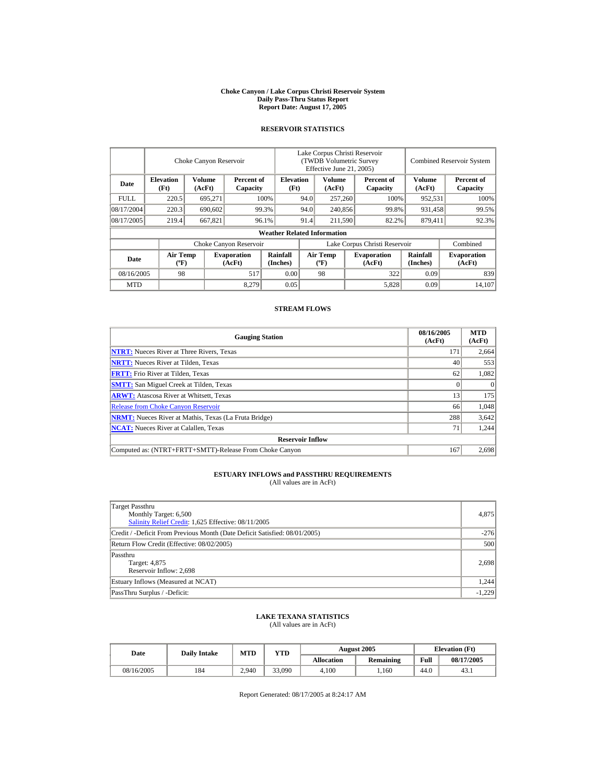#### **Choke Canyon / Lake Corpus Christi Reservoir System Daily Pass-Thru Status Report Report Date: August 17, 2005**

## **RESERVOIR STATISTICS**

|             |                                             | Choke Canyon Reservoir  |                              |                                    | Lake Corpus Christi Reservoir<br><b>(TWDB Volumetric Survey)</b><br>Effective June 21, 2005) |                                  |  |                              | <b>Combined Reservoir System</b> |                              |
|-------------|---------------------------------------------|-------------------------|------------------------------|------------------------------------|----------------------------------------------------------------------------------------------|----------------------------------|--|------------------------------|----------------------------------|------------------------------|
| Date        | <b>Elevation</b><br>(Ft)                    | <b>Volume</b><br>(AcFt) | Percent of<br>Capacity       | <b>Elevation</b><br>(Ft)           |                                                                                              | <b>Volume</b><br>(AcFt)          |  | Percent of<br>Capacity       | Volume<br>(AcFt)                 | Percent of<br>Capacity       |
| <b>FULL</b> | 220.5                                       | 695,271                 |                              | 100%                               | 94.0                                                                                         | 257,260                          |  | 100%                         | 952,531                          | 100%                         |
| 08/17/2004  | 220.3                                       | 690,602                 |                              | 99.3%                              | 94.0                                                                                         | 240,856                          |  | 99.8%                        | 931,458                          | 99.5%                        |
| 08/17/2005  | 219.4                                       | 667,821                 |                              | 96.1%                              | 91.4                                                                                         | 211,590                          |  | 82.2%                        | 879,411                          | 92.3%                        |
|             |                                             |                         |                              | <b>Weather Related Information</b> |                                                                                              |                                  |  |                              |                                  |                              |
|             |                                             |                         | Choke Canyon Reservoir       |                                    | Lake Corpus Christi Reservoir                                                                |                                  |  |                              |                                  | Combined                     |
| Date        | <b>Air Temp</b><br>$({}^{\circ}\mathrm{F})$ |                         | <b>Evaporation</b><br>(AcFt) | Rainfall<br>(Inches)               |                                                                                              | <b>Air Temp</b><br>$(^{\circ}F)$ |  | <b>Evaporation</b><br>(AcFt) | <b>Rainfall</b><br>(Inches)      | <b>Evaporation</b><br>(AcFt) |
| 08/16/2005  | 98                                          |                         | 517                          | 0.00                               |                                                                                              | 98                               |  | 322                          | 0.09                             | 839                          |
| <b>MTD</b>  |                                             |                         | 8.279                        | 0.05                               |                                                                                              |                                  |  | 5,828                        | 0.09                             | 14,107                       |

## **STREAM FLOWS**

| <b>Gauging Station</b>                                       | 08/16/2005<br>(AcFt) | <b>MTD</b><br>(AcFt) |
|--------------------------------------------------------------|----------------------|----------------------|
| <b>NTRT:</b> Nueces River at Three Rivers, Texas             | 171                  | 2,664                |
| <b>NRTT:</b> Nueces River at Tilden, Texas                   | 40                   | 553                  |
| <b>FRTT:</b> Frio River at Tilden, Texas                     | 62                   | 1,082                |
| <b>SMTT:</b> San Miguel Creek at Tilden, Texas               |                      | $\Omega$             |
| <b>ARWT:</b> Atascosa River at Whitsett, Texas               | 13                   | 175                  |
| <b>Release from Choke Canyon Reservoir</b>                   | 66                   | 1,048                |
| <b>NRMT:</b> Nueces River at Mathis, Texas (La Fruta Bridge) | 288                  | 3,642                |
| <b>NCAT:</b> Nueces River at Calallen, Texas                 | 71                   | 1,244                |
| <b>Reservoir Inflow</b>                                      |                      |                      |
| Computed as: (NTRT+FRTT+SMTT)-Release From Choke Canyon      | 167                  | 2.698                |

# **ESTUARY INFLOWS and PASSTHRU REQUIREMENTS**<br>(All values are in AcFt)

| Target Passthru<br>Monthly Target: 6,500<br>Salinity Relief Credit: 1,625 Effective: 08/11/2005 | 4,875    |
|-------------------------------------------------------------------------------------------------|----------|
| Credit / -Deficit From Previous Month (Date Deficit Satisfied: 08/01/2005)                      | $-276$   |
| Return Flow Credit (Effective: 08/02/2005)                                                      | 500      |
| Passthru<br>Target: 4,875<br>Reservoir Inflow: 2,698                                            | 2,698    |
| Estuary Inflows (Measured at NCAT)                                                              | 1.244    |
| PassThru Surplus / -Deficit:                                                                    | $-1.229$ |

## **LAKE TEXANA STATISTICS**

(All values are in AcFt)

| Date       | <b>Daily Intake</b> | <b>MTD</b> | VTD    |            | <b>August 2005</b> | <b>Elevation</b> (Ft) |            |
|------------|---------------------|------------|--------|------------|--------------------|-----------------------|------------|
|            |                     |            |        | Allocation | <b>Remaining</b>   | Full                  | 08/17/2005 |
| 08/16/2005 | 184                 | 2.940      | 33,090 | 4.100      | .160               | 44.0                  | 43.1       |

Report Generated: 08/17/2005 at 8:24:17 AM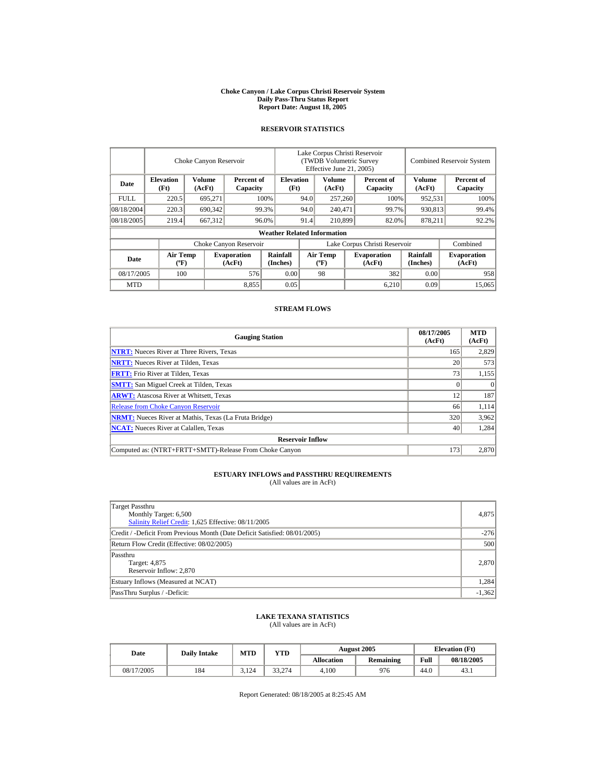#### **Choke Canyon / Lake Corpus Christi Reservoir System Daily Pass-Thru Status Report Report Date: August 18, 2005**

## **RESERVOIR STATISTICS**

|             |                                             | Choke Canyon Reservoir  |                              |                                    | Lake Corpus Christi Reservoir<br><b>(TWDB Volumetric Survey)</b><br>Effective June 21, 2005) |                                  |         |                              |                             | <b>Combined Reservoir System</b> |
|-------------|---------------------------------------------|-------------------------|------------------------------|------------------------------------|----------------------------------------------------------------------------------------------|----------------------------------|---------|------------------------------|-----------------------------|----------------------------------|
| Date        | <b>Elevation</b><br>(Ft)                    | <b>Volume</b><br>(AcFt) | Percent of<br>Capacity       | <b>Elevation</b><br>(Ft)           |                                                                                              | <b>Volume</b><br>(AcFt)          |         | Percent of<br>Capacity       | Volume<br>(AcFt)            | Percent of<br>Capacity           |
| <b>FULL</b> | 220.5                                       | 695,271                 |                              | 100%                               | 94.0                                                                                         | 257,260                          |         | 100%                         | 952,531                     | 100%                             |
| 08/18/2004  | 220.3                                       | 690,342                 |                              | 99.3%                              | 94.0                                                                                         |                                  | 240,471 | 99.7%                        | 930,813                     | 99.4%                            |
| 08/18/2005  | 219.4                                       | 667,312                 |                              | 96.0%                              | 91.4                                                                                         | 210,899                          |         | 82.0%                        | 878,211                     | 92.2%                            |
|             |                                             |                         |                              | <b>Weather Related Information</b> |                                                                                              |                                  |         |                              |                             |                                  |
|             |                                             |                         | Choke Canyon Reservoir       |                                    | Lake Corpus Christi Reservoir                                                                |                                  |         |                              |                             | Combined                         |
| Date        | <b>Air Temp</b><br>$({}^{\circ}\mathrm{F})$ |                         | <b>Evaporation</b><br>(AcFt) | Rainfall<br>(Inches)               |                                                                                              | <b>Air Temp</b><br>$(^{\circ}F)$ |         | <b>Evaporation</b><br>(AcFt) | <b>Rainfall</b><br>(Inches) | <b>Evaporation</b><br>(AcFt)     |
| 08/17/2005  | 100                                         |                         | 576                          | 0.00                               |                                                                                              | 98                               |         | 382                          | 0.00                        | 958                              |
| <b>MTD</b>  |                                             |                         | 8,855                        | 0.05                               |                                                                                              |                                  |         | 6,210                        | 0.09                        | 15,065                           |

## **STREAM FLOWS**

| <b>Gauging Station</b>                                       | 08/17/2005<br>(AcFt) | <b>MTD</b><br>(AcFt) |
|--------------------------------------------------------------|----------------------|----------------------|
| <b>NTRT:</b> Nueces River at Three Rivers, Texas             | 165                  | 2,829                |
| <b>NRTT:</b> Nueces River at Tilden, Texas                   | 20 <sub>1</sub>      | 573                  |
| <b>FRTT:</b> Frio River at Tilden, Texas                     | 73                   | 1,155                |
| <b>SMTT:</b> San Miguel Creek at Tilden, Texas               |                      | $\Omega$             |
| <b>ARWT:</b> Atascosa River at Whitsett, Texas               | 12                   | 187                  |
| <b>Release from Choke Canyon Reservoir</b>                   | 66                   | 1.114                |
| <b>NRMT:</b> Nueces River at Mathis, Texas (La Fruta Bridge) | 320                  | 3,962                |
| <b>NCAT:</b> Nueces River at Calallen, Texas                 | 40                   | 1,284                |
| <b>Reservoir Inflow</b>                                      |                      |                      |
| Computed as: (NTRT+FRTT+SMTT)-Release From Choke Canyon      | 173                  | 2.870                |

# **ESTUARY INFLOWS and PASSTHRU REQUIREMENTS**<br>(All values are in AcFt)

| Target Passthru<br>Monthly Target: 6,500<br>Salinity Relief Credit: 1,625 Effective: 08/11/2005 | 4,875    |
|-------------------------------------------------------------------------------------------------|----------|
| Credit / -Deficit From Previous Month (Date Deficit Satisfied: 08/01/2005)                      | $-276$   |
| Return Flow Credit (Effective: 08/02/2005)                                                      | 500      |
| Passthru<br>Target: 4,875<br>Reservoir Inflow: 2,870                                            | 2,870    |
| Estuary Inflows (Measured at NCAT)                                                              | 1,284    |
| PassThru Surplus / -Deficit:                                                                    | $-1,362$ |

## **LAKE TEXANA STATISTICS**

(All values are in AcFt)

| Date       | <b>Daily Intake</b> | <b>MTD</b> | YTD    |                   | <b>August 2005</b> | <b>Elevation</b> (Ft) |            |
|------------|---------------------|------------|--------|-------------------|--------------------|-----------------------|------------|
|            |                     |            |        | <b>Allocation</b> | <b>Remaining</b>   | Full                  | 08/18/2005 |
| 08/17/2005 | 184                 | 3.124      | 33.274 | 4.100             | 976                | 44.0                  | 43.1       |

Report Generated: 08/18/2005 at 8:25:45 AM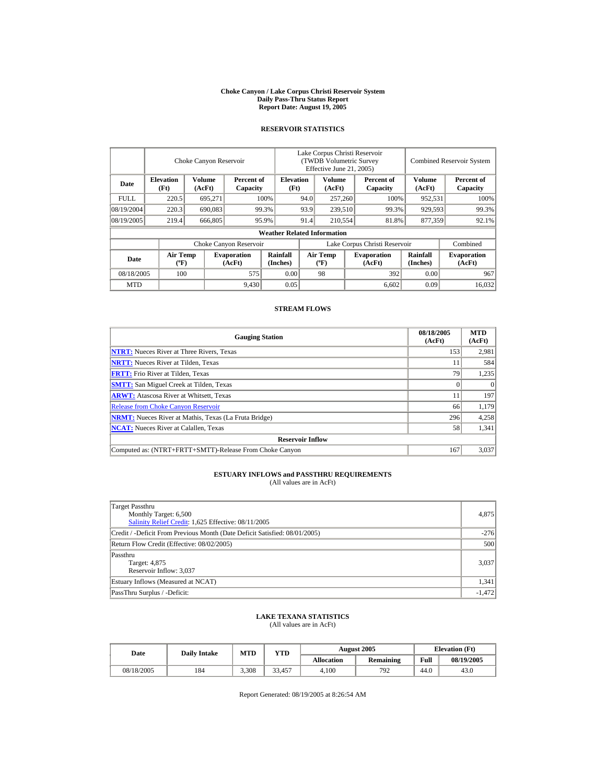#### **Choke Canyon / Lake Corpus Christi Reservoir System Daily Pass-Thru Status Report Report Date: August 19, 2005**

## **RESERVOIR STATISTICS**

|             |                                             | Choke Canyon Reservoir  |                              |                                    | Lake Corpus Christi Reservoir<br><b>(TWDB Volumetric Survey)</b><br>Effective June 21, 2005) |                                  |  |                              |                             | <b>Combined Reservoir System</b> |
|-------------|---------------------------------------------|-------------------------|------------------------------|------------------------------------|----------------------------------------------------------------------------------------------|----------------------------------|--|------------------------------|-----------------------------|----------------------------------|
| Date        | <b>Elevation</b><br>(Ft)                    | <b>Volume</b><br>(AcFt) | Percent of<br>Capacity       | <b>Elevation</b><br>(Ft)           |                                                                                              | <b>Volume</b><br>(AcFt)          |  | Percent of<br>Capacity       | Volume<br>(AcFt)            | Percent of<br>Capacity           |
| <b>FULL</b> | 220.5                                       | 695,271                 |                              | 100%                               | 94.0                                                                                         | 257,260                          |  | 100%                         | 952,531                     | 100%                             |
| 08/19/2004  | 220.3                                       | 690,083                 |                              | 99.3%                              | 93.9                                                                                         | 239,510                          |  | 99.3%                        | 929,593                     | 99.3%                            |
| 08/19/2005  | 219.4                                       | 666,805                 |                              | 95.9%                              | 91.4                                                                                         | 210,554                          |  | 81.8%                        | 877.359                     | 92.1%                            |
|             |                                             |                         |                              | <b>Weather Related Information</b> |                                                                                              |                                  |  |                              |                             |                                  |
|             |                                             |                         | Choke Canyon Reservoir       |                                    | Lake Corpus Christi Reservoir                                                                |                                  |  |                              |                             | Combined                         |
| Date        | <b>Air Temp</b><br>$({}^{\circ}\mathrm{F})$ |                         | <b>Evaporation</b><br>(AcFt) | Rainfall<br>(Inches)               |                                                                                              | <b>Air Temp</b><br>$(^{\circ}F)$ |  | <b>Evaporation</b><br>(AcFt) | <b>Rainfall</b><br>(Inches) | <b>Evaporation</b><br>(AcFt)     |
| 08/18/2005  | 100                                         |                         | 575                          | 0.00                               |                                                                                              | 98                               |  | 392                          | 0.00                        | 967                              |
| <b>MTD</b>  |                                             |                         | 9,430                        | 0.05                               |                                                                                              |                                  |  | 6,602                        | 0.09                        | 16.032                           |

## **STREAM FLOWS**

| <b>Gauging Station</b>                                       | 08/18/2005<br>(AcFt) | <b>MTD</b><br>(AcFt) |
|--------------------------------------------------------------|----------------------|----------------------|
| <b>NTRT:</b> Nueces River at Three Rivers, Texas             | 153                  | 2,981                |
| <b>NRTT:</b> Nueces River at Tilden, Texas                   | 11                   | 584                  |
| <b>FRTT:</b> Frio River at Tilden, Texas                     | 79                   | 1,235                |
| <b>SMTT:</b> San Miguel Creek at Tilden, Texas               |                      | $\theta$             |
| <b>ARWT:</b> Atascosa River at Whitsett, Texas               |                      | 197                  |
| <b>Release from Choke Canyon Reservoir</b>                   | 66                   | 1,179                |
| <b>NRMT:</b> Nueces River at Mathis, Texas (La Fruta Bridge) | 296                  | 4,258                |
| <b>NCAT:</b> Nueces River at Calallen, Texas                 | 58                   | 1,341                |
| <b>Reservoir Inflow</b>                                      |                      |                      |
| Computed as: (NTRT+FRTT+SMTT)-Release From Choke Canyon      | 167                  | 3.037                |

## **ESTUARY INFLOWS and PASSTHRU REQUIREMENTS**<br>(All values are in AcFt)

| Target Passthru<br>Monthly Target: 6,500<br>Salinity Relief Credit: 1,625 Effective: 08/11/2005 | 4,875    |
|-------------------------------------------------------------------------------------------------|----------|
| Credit / -Deficit From Previous Month (Date Deficit Satisfied: 08/01/2005)                      | $-276$   |
| Return Flow Credit (Effective: 08/02/2005)                                                      | 500      |
| Passthru<br>Target: 4,875<br>Reservoir Inflow: 3,037                                            | 3.037    |
| Estuary Inflows (Measured at NCAT)                                                              | 1,341    |
| PassThru Surplus / -Deficit:                                                                    | $-1,472$ |

## **LAKE TEXANA STATISTICS**

(All values are in AcFt)

| Date       | <b>Daily Intake</b> | <b>MTD</b> | VTD    |            | <b>August 2005</b> | <b>Elevation</b> (Ft) |            |
|------------|---------------------|------------|--------|------------|--------------------|-----------------------|------------|
|            |                     |            |        | Allocation | <b>Remaining</b>   | Full                  | 08/19/2005 |
| 08/18/2005 | 184                 | 3,308      | 33.457 | 4.100      | 792                | 44.0                  | 43.0       |

Report Generated: 08/19/2005 at 8:26:54 AM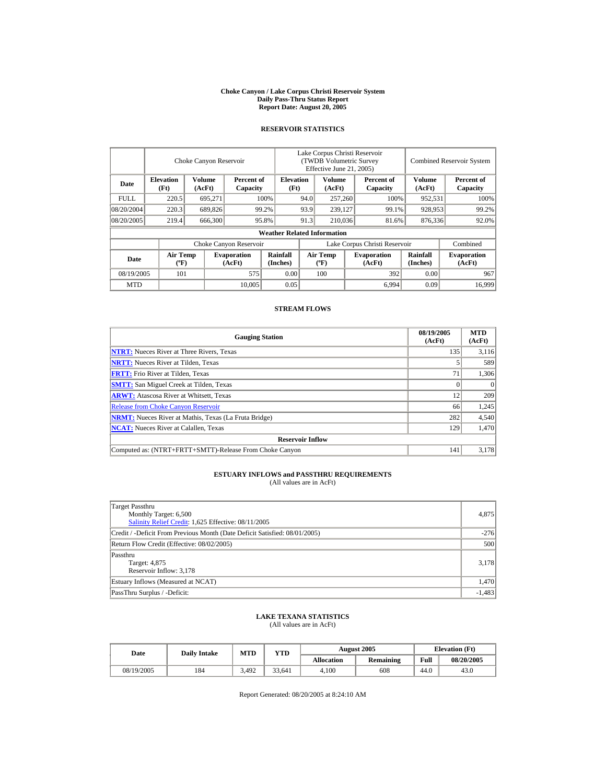#### **Choke Canyon / Lake Corpus Christi Reservoir System Daily Pass-Thru Status Report Report Date: August 20, 2005**

## **RESERVOIR STATISTICS**

|             |                                             | Choke Canyon Reservoir |                              |                                    | Lake Corpus Christi Reservoir<br><b>(TWDB Volumetric Survey)</b><br>Effective June 21, 2005) |                                  |  |                              | <b>Combined Reservoir System</b> |                              |
|-------------|---------------------------------------------|------------------------|------------------------------|------------------------------------|----------------------------------------------------------------------------------------------|----------------------------------|--|------------------------------|----------------------------------|------------------------------|
| Date        | <b>Elevation</b><br>(Ft)                    | Volume<br>(AcFt)       | Percent of<br>Capacity       | <b>Elevation</b><br>(Ft)           |                                                                                              | <b>Volume</b><br>(AcFt)          |  | Percent of<br>Capacity       | Volume<br>(AcFt)                 | Percent of<br>Capacity       |
| <b>FULL</b> | 220.5                                       | 695,271                |                              | 100%                               | 94.0                                                                                         | 257,260                          |  | 100%                         | 952,531                          | 100%                         |
| 08/20/2004  | 220.3                                       | 689,826                |                              | 99.2%                              | 93.9                                                                                         | 239,127                          |  | 99.1%                        | 928,953                          | 99.2%                        |
| 08/20/2005  | 219.4                                       | 666,300                |                              | 95.8%                              | 91.3                                                                                         | 210,036                          |  | 81.6%                        | 876,336                          | 92.0%                        |
|             |                                             |                        |                              | <b>Weather Related Information</b> |                                                                                              |                                  |  |                              |                                  |                              |
|             |                                             |                        | Choke Canyon Reservoir       |                                    | Lake Corpus Christi Reservoir                                                                |                                  |  |                              |                                  | Combined                     |
| Date        | <b>Air Temp</b><br>$({}^{\circ}\mathrm{F})$ |                        | <b>Evaporation</b><br>(AcFt) | Rainfall<br>(Inches)               |                                                                                              | <b>Air Temp</b><br>$(^{\circ}F)$ |  | <b>Evaporation</b><br>(AcFt) | <b>Rainfall</b><br>(Inches)      | <b>Evaporation</b><br>(AcFt) |
| 08/19/2005  | 101                                         |                        | 575                          | 0.00                               |                                                                                              | 100                              |  | 392                          | 0.00                             | 967                          |
| <b>MTD</b>  |                                             |                        | 10,005                       | 0.05                               |                                                                                              |                                  |  | 6.994                        | 0.09                             | 16.999                       |

## **STREAM FLOWS**

| <b>Gauging Station</b>                                       | 08/19/2005<br>(AcFt) | <b>MTD</b><br>(AcFt) |
|--------------------------------------------------------------|----------------------|----------------------|
| <b>NTRT:</b> Nueces River at Three Rivers, Texas             | 135                  | 3,116                |
| <b>NRTT:</b> Nueces River at Tilden, Texas                   |                      | 589                  |
| <b>FRTT:</b> Frio River at Tilden, Texas                     | 71                   | 1,306                |
| <b>SMTT:</b> San Miguel Creek at Tilden, Texas               |                      | $\Omega$             |
| <b>ARWT:</b> Atascosa River at Whitsett, Texas               | 12                   | 209                  |
| <b>Release from Choke Canyon Reservoir</b>                   | 66                   | 1,245                |
| <b>NRMT:</b> Nueces River at Mathis, Texas (La Fruta Bridge) | 282                  | 4,540                |
| <b>NCAT:</b> Nueces River at Calallen, Texas                 | 129                  | 1,470                |
| <b>Reservoir Inflow</b>                                      |                      |                      |
| Computed as: (NTRT+FRTT+SMTT)-Release From Choke Canyon      | 141                  | 3.178                |

## **ESTUARY INFLOWS and PASSTHRU REQUIREMENTS**<br>(All values are in AcFt)

| Target Passthru<br>Monthly Target: 6,500<br>Salinity Relief Credit: 1,625 Effective: 08/11/2005 | 4,875    |
|-------------------------------------------------------------------------------------------------|----------|
| Credit / -Deficit From Previous Month (Date Deficit Satisfied: 08/01/2005)                      | $-276$   |
| Return Flow Credit (Effective: 08/02/2005)                                                      | 500      |
| Passthru<br>Target: 4,875<br>Reservoir Inflow: 3,178                                            | 3,178    |
| Estuary Inflows (Measured at NCAT)                                                              | 1,470    |
| PassThru Surplus / -Deficit:                                                                    | $-1,483$ |

## **LAKE TEXANA STATISTICS**

(All values are in AcFt)

| Date       | <b>Daily Intake</b> | <b>MTD</b> | YTD    |                   | August 2005      | <b>Elevation</b> (Ft) |            |
|------------|---------------------|------------|--------|-------------------|------------------|-----------------------|------------|
|            |                     |            |        | <b>Allocation</b> | <b>Remaining</b> | Full                  | 08/20/2005 |
| 08/19/2005 | 184                 | 3.492      | 33.641 | 4.100             | 608              | 44.0                  | 43.0       |

Report Generated: 08/20/2005 at 8:24:10 AM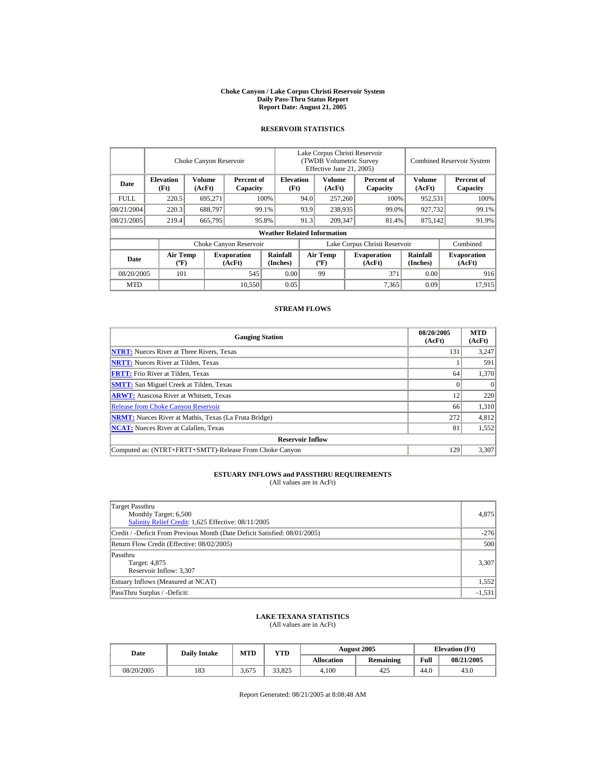#### **Choke Canyon / Lake Corpus Christi Reservoir System Daily Pass-Thru Status Report Report Date: August 21, 2005**

## **RESERVOIR STATISTICS**

|             | Choke Canyon Reservoir                                                                                                                                                  |                         |                             |                                    | Lake Corpus Christi Reservoir<br><b>(TWDB Volumetric Survey)</b><br>Effective June 21, 2005) |                         |  |                        |                  | <b>Combined Reservoir System</b> |  |  |
|-------------|-------------------------------------------------------------------------------------------------------------------------------------------------------------------------|-------------------------|-----------------------------|------------------------------------|----------------------------------------------------------------------------------------------|-------------------------|--|------------------------|------------------|----------------------------------|--|--|
| Date        | <b>Elevation</b><br>(Ft)                                                                                                                                                | <b>Volume</b><br>(AcFt) | Percent of<br>Capacity      | <b>Elevation</b><br>(Ft)           |                                                                                              | <b>Volume</b><br>(AcFt) |  | Percent of<br>Capacity | Volume<br>(AcFt) | Percent of<br>Capacity           |  |  |
| <b>FULL</b> | 220.5                                                                                                                                                                   | 695,271                 |                             | 100%                               | 94.0                                                                                         | 257,260                 |  | 100%                   | 952,531          | 100%                             |  |  |
| 08/21/2004  | 220.3                                                                                                                                                                   | 688,797                 |                             | 99.1%                              | 93.9                                                                                         | 238,935                 |  | 99.0%                  | 927,732          | 99.1%                            |  |  |
| 08/21/2005  | 219.4                                                                                                                                                                   | 665,795                 |                             | 95.8%                              | 91.3                                                                                         | 209,347                 |  | 81.4%                  | 875,142          | 91.9%                            |  |  |
|             |                                                                                                                                                                         |                         |                             | <b>Weather Related Information</b> |                                                                                              |                         |  |                        |                  |                                  |  |  |
|             |                                                                                                                                                                         |                         | Choke Canyon Reservoir      |                                    | Lake Corpus Christi Reservoir                                                                |                         |  |                        |                  | Combined                         |  |  |
| Date        | Rainfall<br><b>Air Temp</b><br><b>Air Temp</b><br><b>Evaporation</b><br><b>Evaporation</b><br>$({}^{\circ}\mathrm{F})$<br>(AcFt)<br>(Inches)<br>(AcFt)<br>$(^{\circ}F)$ |                         | <b>Rainfall</b><br>(Inches) | <b>Evaporation</b><br>(AcFt)       |                                                                                              |                         |  |                        |                  |                                  |  |  |
| 08/20/2005  | 101                                                                                                                                                                     |                         | 545                         | 0.00                               |                                                                                              | 99                      |  | 371                    | 0.00             | 916                              |  |  |
| <b>MTD</b>  |                                                                                                                                                                         |                         | 10.550                      | 0.05                               |                                                                                              |                         |  | 7,365                  | 0.09             | 17.915                           |  |  |

## **STREAM FLOWS**

| <b>Gauging Station</b>                                       | 08/20/2005<br>(AcFt) | <b>MTD</b><br>(AcFt) |
|--------------------------------------------------------------|----------------------|----------------------|
| <b>NTRT:</b> Nueces River at Three Rivers, Texas             | 131                  | 3,247                |
| <b>NRTT:</b> Nueces River at Tilden, Texas                   |                      | 591                  |
| <b>FRTT:</b> Frio River at Tilden, Texas                     | 64                   | 1,370                |
| <b>SMTT:</b> San Miguel Creek at Tilden, Texas               |                      | $\Omega$             |
| <b>ARWT:</b> Atascosa River at Whitsett, Texas               | 12                   | 220                  |
| <b>Release from Choke Canyon Reservoir</b>                   | 66                   | 1,310                |
| <b>NRMT:</b> Nueces River at Mathis, Texas (La Fruta Bridge) | 272                  | 4,812                |
| <b>NCAT:</b> Nueces River at Calallen, Texas                 | 81                   | 1,552                |
| <b>Reservoir Inflow</b>                                      |                      |                      |
| Computed as: (NTRT+FRTT+SMTT)-Release From Choke Canyon      | 129                  | 3,307                |

# **ESTUARY INFLOWS and PASSTHRU REQUIREMENTS**<br>(All values are in AcFt)

| Target Passthru<br>Monthly Target: 6,500<br>Salinity Relief Credit: 1,625 Effective: 08/11/2005 | 4,875    |
|-------------------------------------------------------------------------------------------------|----------|
| Credit / -Deficit From Previous Month (Date Deficit Satisfied: 08/01/2005)                      | $-276$   |
| Return Flow Credit (Effective: 08/02/2005)                                                      | 500      |
| Passthru<br>Target: 4,875<br>Reservoir Inflow: 3,307                                            | 3,307    |
| Estuary Inflows (Measured at NCAT)                                                              | 1,552    |
| PassThru Surplus / -Deficit:                                                                    | $-1,531$ |

## **LAKE TEXANA STATISTICS**

(All values are in AcFt)

| Date       | <b>Daily Intake</b> | <b>MTD</b> | VTD    |                   | <b>August 2005</b> | <b>Elevation</b> (Ft) |            |  |
|------------|---------------------|------------|--------|-------------------|--------------------|-----------------------|------------|--|
|            |                     |            |        | <b>Allocation</b> | <b>Remaining</b>   | Full                  | 08/21/2005 |  |
| 08/20/2005 | 183                 | 3.675      | 33.825 | 4.100             | 425                | 44.0                  | 43.0       |  |

Report Generated: 08/21/2005 at 8:08:48 AM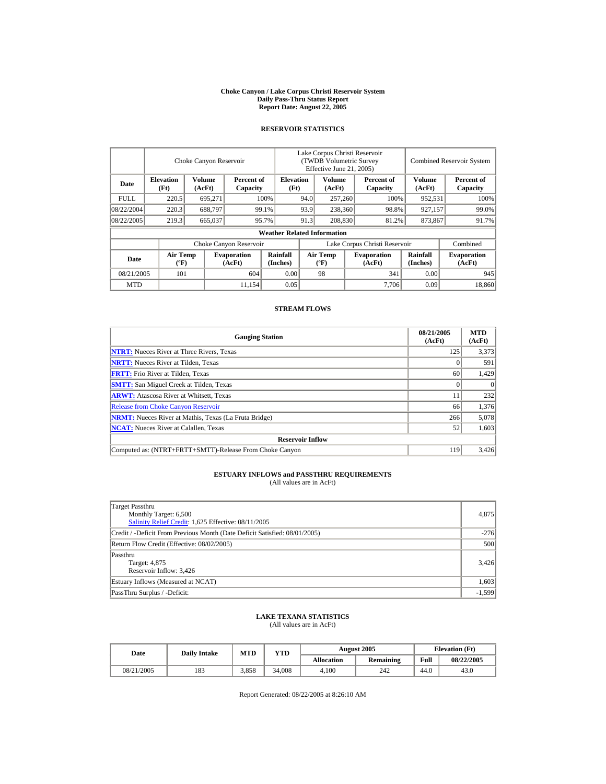#### **Choke Canyon / Lake Corpus Christi Reservoir System Daily Pass-Thru Status Report Report Date: August 22, 2005**

## **RESERVOIR STATISTICS**

|             | Choke Canyon Reservoir   |                                                                                                                                                                         |                        |                                    | Lake Corpus Christi Reservoir<br><b>(TWDB Volumetric Survey)</b><br>Effective June 21, 2005) |                         |  |                        |                  | <b>Combined Reservoir System</b> |  |  |
|-------------|--------------------------|-------------------------------------------------------------------------------------------------------------------------------------------------------------------------|------------------------|------------------------------------|----------------------------------------------------------------------------------------------|-------------------------|--|------------------------|------------------|----------------------------------|--|--|
| Date        | <b>Elevation</b><br>(Ft) | <b>Volume</b><br>(AcFt)                                                                                                                                                 | Percent of<br>Capacity | <b>Elevation</b><br>(Ft)           |                                                                                              | <b>Volume</b><br>(AcFt) |  | Percent of<br>Capacity | Volume<br>(AcFt) | Percent of<br>Capacity           |  |  |
| <b>FULL</b> | 220.5                    | 695,271                                                                                                                                                                 |                        | 100%                               | 94.0                                                                                         | 257,260                 |  | 100%                   | 952,531          | 100%                             |  |  |
| 08/22/2004  | 220.3                    | 688,797                                                                                                                                                                 |                        | 99.1%                              | 93.9                                                                                         | 238,360                 |  | 98.8%                  | 927,157          | 99.0%                            |  |  |
| 08/22/2005  | 219.3                    | 665,037                                                                                                                                                                 |                        | 95.7%                              | 91.3                                                                                         | 208,830                 |  | 81.2%                  | 873,867          | 91.7%                            |  |  |
|             |                          |                                                                                                                                                                         |                        | <b>Weather Related Information</b> |                                                                                              |                         |  |                        |                  |                                  |  |  |
|             |                          |                                                                                                                                                                         | Choke Canyon Reservoir |                                    | Lake Corpus Christi Reservoir                                                                |                         |  |                        |                  | Combined                         |  |  |
| Date        |                          | Rainfall<br><b>Air Temp</b><br><b>Air Temp</b><br><b>Evaporation</b><br><b>Evaporation</b><br>$({}^{\circ}\mathrm{F})$<br>(AcFt)<br>(Inches)<br>(AcFt)<br>$(^{\circ}F)$ |                        | <b>Rainfall</b><br>(Inches)        | <b>Evaporation</b><br>(AcFt)                                                                 |                         |  |                        |                  |                                  |  |  |
| 08/21/2005  | 101                      |                                                                                                                                                                         | 604                    | 0.00                               |                                                                                              | 98                      |  | 341                    | 0.00             | 945                              |  |  |
| <b>MTD</b>  |                          |                                                                                                                                                                         | 11.154                 | 0.05                               |                                                                                              |                         |  | 7.706                  | 0.09             | 18,860                           |  |  |

## **STREAM FLOWS**

| <b>Gauging Station</b>                                       | 08/21/2005<br>(AcFt) | <b>MTD</b><br>(AcFt) |
|--------------------------------------------------------------|----------------------|----------------------|
| <b>NTRT:</b> Nueces River at Three Rivers, Texas             | 125                  | 3,373                |
| <b>NRTT:</b> Nueces River at Tilden, Texas                   |                      | 591                  |
| <b>FRTT:</b> Frio River at Tilden, Texas                     | 60                   | 1,429                |
| <b>SMTT:</b> San Miguel Creek at Tilden, Texas               |                      | $\theta$             |
| <b>ARWT:</b> Atascosa River at Whitsett, Texas               |                      | 232                  |
| <b>Release from Choke Canyon Reservoir</b>                   | 66                   | 1.376                |
| <b>NRMT:</b> Nueces River at Mathis, Texas (La Fruta Bridge) | 266                  | 5,078                |
| <b>NCAT:</b> Nueces River at Calallen, Texas                 | 52                   | 1,603                |
| <b>Reservoir Inflow</b>                                      |                      |                      |
| Computed as: (NTRT+FRTT+SMTT)-Release From Choke Canyon      | 119                  | 3.426                |

# **ESTUARY INFLOWS and PASSTHRU REQUIREMENTS**<br>(All values are in AcFt)

| Target Passthru<br>Monthly Target: 6,500<br>Salinity Relief Credit: 1,625 Effective: 08/11/2005 | 4,875    |
|-------------------------------------------------------------------------------------------------|----------|
| Credit / -Deficit From Previous Month (Date Deficit Satisfied: 08/01/2005)                      | $-276$   |
| Return Flow Credit (Effective: 08/02/2005)                                                      | 500      |
| Passthru<br>Target: 4,875<br>Reservoir Inflow: 3,426                                            | 3,426    |
| Estuary Inflows (Measured at NCAT)                                                              | 1,603    |
| PassThru Surplus / -Deficit:                                                                    | $-1,599$ |

## **LAKE TEXANA STATISTICS**

(All values are in AcFt)

| Date       | <b>Daily Intake</b> | MTD   | YTD    |                   | <b>August 2005</b> | <b>Elevation</b> (Ft) |            |
|------------|---------------------|-------|--------|-------------------|--------------------|-----------------------|------------|
|            |                     |       |        | <b>Allocation</b> | <b>Remaining</b>   | Full                  | 08/22/2005 |
| 08/21/2005 | 183                 | 3.858 | 34,008 | 4.100             | 242                | 44.0                  | 43.0       |

Report Generated: 08/22/2005 at 8:26:10 AM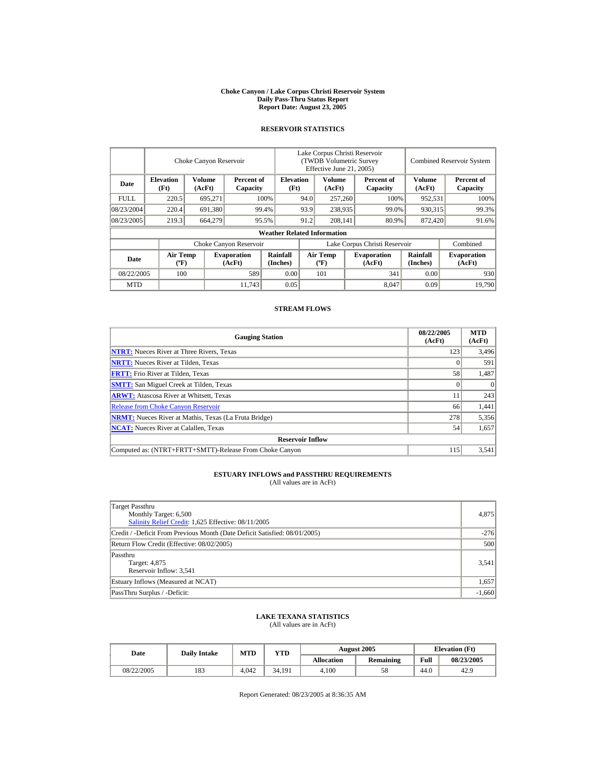#### **Choke Canyon / Lake Corpus Christi Reservoir System Daily Pass-Thru Status Report Report Date: August 23, 2005**

## **RESERVOIR STATISTICS**

|                          | Choke Canyon Reservoir                                                                                                                                                  |                         |                             |                                    | Lake Corpus Christi Reservoir<br><b>(TWDB Volumetric Survey)</b><br>Effective June 21, 2005) |                         |      |                        |                  | <b>Combined Reservoir System</b> |  |  |
|--------------------------|-------------------------------------------------------------------------------------------------------------------------------------------------------------------------|-------------------------|-----------------------------|------------------------------------|----------------------------------------------------------------------------------------------|-------------------------|------|------------------------|------------------|----------------------------------|--|--|
| Date                     | <b>Elevation</b><br>(Ft)                                                                                                                                                | <b>Volume</b><br>(AcFt) | Percent of<br>Capacity      | <b>Elevation</b><br>(Ft)           |                                                                                              | <b>Volume</b><br>(AcFt) |      | Percent of<br>Capacity | Volume<br>(AcFt) | Percent of<br>Capacity           |  |  |
| <b>FULL</b>              | 220.5                                                                                                                                                                   | 695,271                 |                             | 100%                               | 94.0                                                                                         | 257,260                 |      | 100%                   | 952,531          | 100%                             |  |  |
| 08/23/2004               | 220.4                                                                                                                                                                   | 691,380                 |                             | 99.4%                              | 93.9                                                                                         | 238,935                 |      | 99.0%                  | 930,315          | 99.3%                            |  |  |
| 08/23/2005               | 219.3                                                                                                                                                                   | 664,279                 |                             | 95.5%                              | 91.2                                                                                         | 208,141                 |      | 80.9%                  | 872,420          | 91.6%                            |  |  |
|                          |                                                                                                                                                                         |                         |                             | <b>Weather Related Information</b> |                                                                                              |                         |      |                        |                  |                                  |  |  |
|                          |                                                                                                                                                                         |                         | Choke Canyon Reservoir      |                                    | Lake Corpus Christi Reservoir                                                                |                         |      |                        |                  | Combined                         |  |  |
| Date                     | Rainfall<br><b>Air Temp</b><br><b>Air Temp</b><br><b>Evaporation</b><br><b>Evaporation</b><br>$({}^{\circ}\mathrm{F})$<br>(AcFt)<br>(Inches)<br>(AcFt)<br>$(^{\circ}F)$ |                         | <b>Rainfall</b><br>(Inches) | <b>Evaporation</b><br>(AcFt)       |                                                                                              |                         |      |                        |                  |                                  |  |  |
| 589<br>08/22/2005<br>100 |                                                                                                                                                                         | 0.00                    |                             | 101                                |                                                                                              | 341                     | 0.00 | 930                    |                  |                                  |  |  |
| <b>MTD</b>               |                                                                                                                                                                         |                         | 11.743                      | 0.05                               |                                                                                              |                         |      | 8.047                  | 0.09             | 19.790                           |  |  |

## **STREAM FLOWS**

| <b>Gauging Station</b>                                       | 08/22/2005<br>(AcFt) | <b>MTD</b><br>(AcFt) |
|--------------------------------------------------------------|----------------------|----------------------|
| <b>NTRT:</b> Nueces River at Three Rivers, Texas             | 123                  | 3,496                |
| <b>NRTT:</b> Nueces River at Tilden, Texas                   |                      | 591                  |
| <b>FRTT:</b> Frio River at Tilden, Texas                     | 58                   | 1,487                |
| <b>SMTT:</b> San Miguel Creek at Tilden, Texas               |                      | $\theta$             |
| <b>ARWT:</b> Atascosa River at Whitsett, Texas               |                      | 243                  |
| <b>Release from Choke Canyon Reservoir</b>                   | 66                   | 1,441                |
| <b>NRMT:</b> Nueces River at Mathis, Texas (La Fruta Bridge) | 278                  | 5,356                |
| <b>NCAT:</b> Nueces River at Calallen, Texas                 | 54                   | 1,657                |
| <b>Reservoir Inflow</b>                                      |                      |                      |
| Computed as: (NTRT+FRTT+SMTT)-Release From Choke Canyon      | 115                  | 3,541                |

# **ESTUARY INFLOWS and PASSTHRU REQUIREMENTS**<br>(All values are in AcFt)

| Target Passthru<br>Monthly Target: 6,500<br>Salinity Relief Credit: 1,625 Effective: 08/11/2005 | 4,875    |
|-------------------------------------------------------------------------------------------------|----------|
| Credit / -Deficit From Previous Month (Date Deficit Satisfied: 08/01/2005)                      | $-276$   |
| Return Flow Credit (Effective: 08/02/2005)                                                      | 500      |
| Passthru<br>Target: 4,875<br>Reservoir Inflow: 3,541                                            | 3.541    |
| Estuary Inflows (Measured at NCAT)                                                              | 1,657    |
| PassThru Surplus / -Deficit:                                                                    | $-1,660$ |

## **LAKE TEXANA STATISTICS**

(All values are in AcFt)

| Date       | <b>Daily Intake</b> | MTD   | YTD    |                   | <b>August 2005</b> | <b>Elevation</b> (Ft) |            |
|------------|---------------------|-------|--------|-------------------|--------------------|-----------------------|------------|
|            |                     |       |        | <b>Allocation</b> | <b>Remaining</b>   | Full                  | 08/23/2005 |
| 08/22/2005 | 183                 | 4.042 | 34.191 | 4.100             | 58                 | 44.0                  | 42.9       |

Report Generated: 08/23/2005 at 8:36:35 AM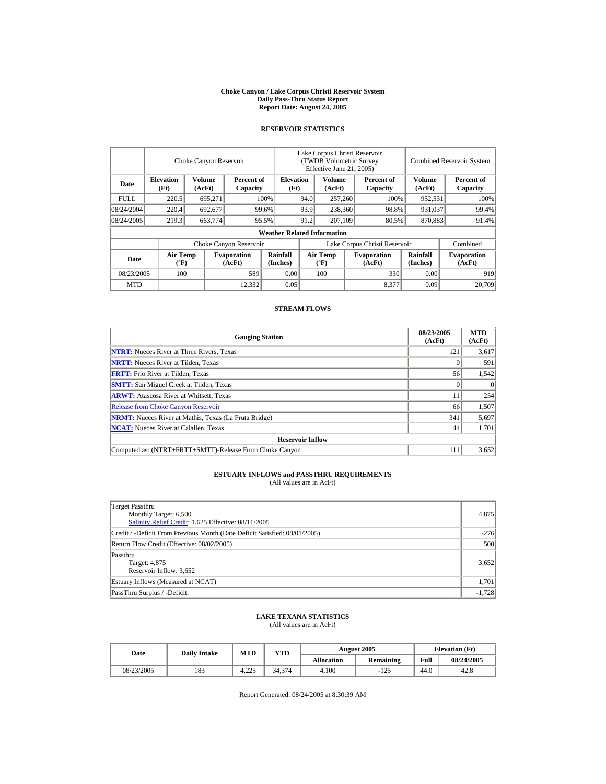#### **Choke Canyon / Lake Corpus Christi Reservoir System Daily Pass-Thru Status Report Report Date: August 24, 2005**

## **RESERVOIR STATISTICS**

|             |                                             | Choke Canyon Reservoir  |                              |                                    | Lake Corpus Christi Reservoir<br><b>(TWDB Volumetric Survey)</b><br>Effective June 21, 2005) |                                  |  |                              |                             | <b>Combined Reservoir System</b> |  |
|-------------|---------------------------------------------|-------------------------|------------------------------|------------------------------------|----------------------------------------------------------------------------------------------|----------------------------------|--|------------------------------|-----------------------------|----------------------------------|--|
| Date        | <b>Elevation</b><br>(Ft)                    | <b>Volume</b><br>(AcFt) | Percent of<br>Capacity       | <b>Elevation</b><br>(Ft)           |                                                                                              | <b>Volume</b><br>(AcFt)          |  | Percent of<br>Capacity       | Volume<br>(AcFt)            | Percent of<br>Capacity           |  |
| <b>FULL</b> | 220.5                                       | 695,271                 |                              | 100%                               | 94.0                                                                                         | 257,260                          |  | 100%<br>952,531              |                             | 100%                             |  |
| 08/24/2004  | 220.4                                       | 692,677                 |                              | 99.6%                              | 93.9                                                                                         | 238,360                          |  | 98.8%                        | 931,037                     | 99.4%                            |  |
| 08/24/2005  | 219.3                                       | 663,774                 |                              | 95.5%                              | 91.2                                                                                         | 207,109                          |  | 80.5%                        | 870,883                     | 91.4%                            |  |
|             |                                             |                         |                              | <b>Weather Related Information</b> |                                                                                              |                                  |  |                              |                             |                                  |  |
|             |                                             |                         | Choke Canyon Reservoir       |                                    | Lake Corpus Christi Reservoir                                                                |                                  |  |                              |                             | Combined                         |  |
| Date        | <b>Air Temp</b><br>$({}^{\circ}\mathrm{F})$ |                         | <b>Evaporation</b><br>(AcFt) | Rainfall<br>(Inches)               |                                                                                              | <b>Air Temp</b><br>$(^{\circ}F)$ |  | <b>Evaporation</b><br>(AcFt) | <b>Rainfall</b><br>(Inches) | <b>Evaporation</b><br>(AcFt)     |  |
| 08/23/2005  | 100                                         |                         | 589                          | 0.00                               |                                                                                              | 100                              |  | 330                          | 0.00                        | 919                              |  |
| <b>MTD</b>  |                                             |                         | 12.332                       | 0.05                               |                                                                                              |                                  |  | 8,377                        | 0.09                        | 20,709                           |  |

## **STREAM FLOWS**

| <b>Gauging Station</b>                                       | 08/23/2005<br>(AcFt) | <b>MTD</b><br>(AcFt) |
|--------------------------------------------------------------|----------------------|----------------------|
| <b>NTRT:</b> Nueces River at Three Rivers, Texas             | 121                  | 3,617                |
| <b>NRTT:</b> Nueces River at Tilden, Texas                   |                      | 591                  |
| <b>FRTT:</b> Frio River at Tilden, Texas                     | 56                   | 1,542                |
| <b>SMTT:</b> San Miguel Creek at Tilden, Texas               |                      | $\theta$             |
| <b>ARWT:</b> Atascosa River at Whitsett, Texas               |                      | 254                  |
| <b>Release from Choke Canyon Reservoir</b>                   | 66                   | 1,507                |
| <b>NRMT:</b> Nueces River at Mathis, Texas (La Fruta Bridge) | 341                  | 5,697                |
| <b>NCAT:</b> Nueces River at Calallen, Texas                 | 44                   | 1,701                |
| <b>Reservoir Inflow</b>                                      |                      |                      |
| Computed as: (NTRT+FRTT+SMTT)-Release From Choke Canyon      | 111                  | 3,652                |

# **ESTUARY INFLOWS and PASSTHRU REQUIREMENTS**<br>(All values are in AcFt)

| Target Passthru<br>Monthly Target: 6,500<br>Salinity Relief Credit: 1,625 Effective: 08/11/2005 | 4,875    |
|-------------------------------------------------------------------------------------------------|----------|
| Credit / -Deficit From Previous Month (Date Deficit Satisfied: 08/01/2005)                      | $-276$   |
| Return Flow Credit (Effective: 08/02/2005)                                                      | 500      |
| Passthru<br>Target: 4,875<br>Reservoir Inflow: 3,652                                            | 3,652    |
| Estuary Inflows (Measured at NCAT)                                                              | 1,701    |
| PassThru Surplus / -Deficit:                                                                    | $-1,728$ |

## **LAKE TEXANA STATISTICS**

(All values are in AcFt)

| Date       | <b>Daily Intake</b> | <b>MTD</b> | VTD    |                   | <b>August 2005</b> | <b>Elevation</b> (Ft) |            |
|------------|---------------------|------------|--------|-------------------|--------------------|-----------------------|------------|
|            |                     |            |        | <b>Allocation</b> | <b>Remaining</b>   | Full                  | 08/24/2005 |
| 08/23/2005 | 183                 | 4.225      | 34.374 | 4.100             | $-125$             | 44.0                  | 42.8       |

Report Generated: 08/24/2005 at 8:30:39 AM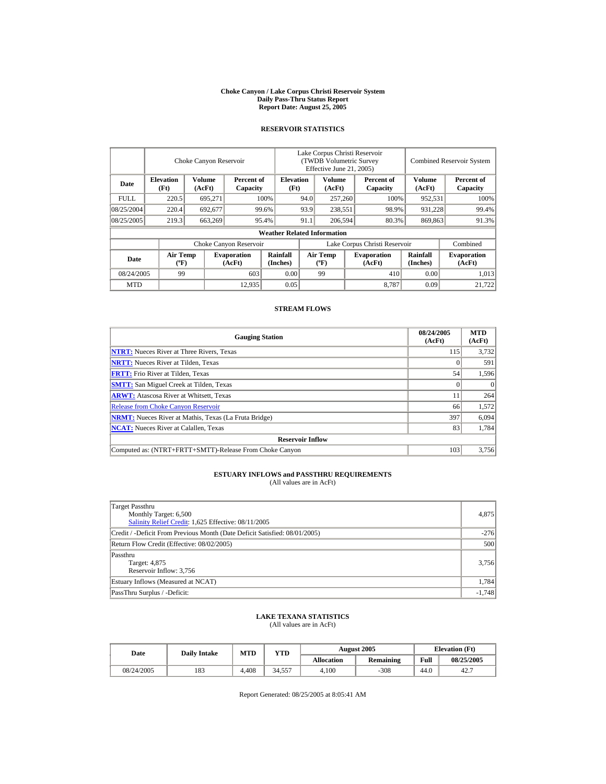#### **Choke Canyon / Lake Corpus Christi Reservoir System Daily Pass-Thru Status Report Report Date: August 25, 2005**

## **RESERVOIR STATISTICS**

|             |                                             | Choke Canyon Reservoir  |                              |                                    | Lake Corpus Christi Reservoir<br><b>(TWDB Volumetric Survey)</b><br>Effective June 21, 2005) |                                  |       |                              | <b>Combined Reservoir System</b> |                              |
|-------------|---------------------------------------------|-------------------------|------------------------------|------------------------------------|----------------------------------------------------------------------------------------------|----------------------------------|-------|------------------------------|----------------------------------|------------------------------|
| Date        | <b>Elevation</b><br>(Ft)                    | <b>Volume</b><br>(AcFt) | Percent of<br>Capacity       | <b>Elevation</b><br>(Ft)           |                                                                                              | <b>Volume</b><br>(AcFt)          |       | Percent of<br>Capacity       | Volume<br>(AcFt)                 | Percent of<br>Capacity       |
| <b>FULL</b> | 220.5                                       | 695,271                 |                              | 100%                               |                                                                                              | 257,260<br>94.0                  |       | 100%                         | 952,531                          | 100%                         |
| 08/25/2004  | 220.4                                       | 692,677                 |                              | 99.6%                              | 93.9                                                                                         | 238,551                          |       | 98.9%                        | 931,228                          | 99.4%                        |
| 08/25/2005  | 219.3                                       | 663,269                 |                              | 95.4%                              | 91.1                                                                                         | 206,594                          | 80.3% |                              | 869,863                          | 91.3%                        |
|             |                                             |                         |                              | <b>Weather Related Information</b> |                                                                                              |                                  |       |                              |                                  |                              |
|             |                                             |                         | Choke Canyon Reservoir       |                                    | Lake Corpus Christi Reservoir                                                                |                                  |       |                              |                                  | Combined                     |
| Date        | <b>Air Temp</b><br>$({}^{\circ}\mathrm{F})$ |                         | <b>Evaporation</b><br>(AcFt) | Rainfall<br>(Inches)               |                                                                                              | <b>Air Temp</b><br>$(^{\circ}F)$ |       | <b>Evaporation</b><br>(AcFt) | <b>Rainfall</b><br>(Inches)      | <b>Evaporation</b><br>(AcFt) |
| 08/24/2005  | 99                                          |                         | 603                          | 0.00                               |                                                                                              | 99                               |       | 410                          | 0.00                             | 1,013                        |
| <b>MTD</b>  |                                             |                         | 12.935                       | 0.05                               |                                                                                              |                                  |       | 8.787                        | 0.09                             | 21.722                       |

## **STREAM FLOWS**

| <b>Gauging Station</b>                                       | 08/24/2005<br>(AcFt) | <b>MTD</b><br>(AcFt) |  |  |  |  |  |
|--------------------------------------------------------------|----------------------|----------------------|--|--|--|--|--|
| <b>NTRT:</b> Nueces River at Three Rivers, Texas             | 115                  | 3,732                |  |  |  |  |  |
| <b>NRTT:</b> Nueces River at Tilden, Texas                   |                      | 591                  |  |  |  |  |  |
| <b>FRTT:</b> Frio River at Tilden, Texas                     | 54                   | 1,596                |  |  |  |  |  |
| <b>SMTT:</b> San Miguel Creek at Tilden, Texas               |                      | $\Omega$             |  |  |  |  |  |
| <b>ARWT:</b> Atascosa River at Whitsett, Texas               |                      | 264                  |  |  |  |  |  |
| <b>Release from Choke Canyon Reservoir</b>                   | 66                   | 1,572                |  |  |  |  |  |
| <b>NRMT:</b> Nueces River at Mathis, Texas (La Fruta Bridge) | 397                  | 6,094                |  |  |  |  |  |
| <b>NCAT:</b> Nueces River at Calallen, Texas                 | 83                   | 1,784                |  |  |  |  |  |
| <b>Reservoir Inflow</b>                                      |                      |                      |  |  |  |  |  |
| Computed as: (NTRT+FRTT+SMTT)-Release From Choke Canyon      | 103                  | 3.756                |  |  |  |  |  |

# **ESTUARY INFLOWS and PASSTHRU REQUIREMENTS**<br>(All values are in AcFt)

| Target Passthru<br>Monthly Target: 6,500<br>Salinity Relief Credit: 1,625 Effective: 08/11/2005 | 4,875    |
|-------------------------------------------------------------------------------------------------|----------|
| Credit / -Deficit From Previous Month (Date Deficit Satisfied: 08/01/2005)                      | $-276$   |
| Return Flow Credit (Effective: 08/02/2005)                                                      | 500      |
| Passthru<br>Target: 4,875<br>Reservoir Inflow: 3,756                                            | 3,756    |
| Estuary Inflows (Measured at NCAT)                                                              | 1.784    |
| PassThru Surplus / -Deficit:                                                                    | $-1,748$ |

## **LAKE TEXANA STATISTICS**

(All values are in AcFt)

| Date       | <b>Daily Intake</b> | <b>MTD</b> | VTD    |                   | August 2005      | <b>Elevation</b> (Ft) |            |
|------------|---------------------|------------|--------|-------------------|------------------|-----------------------|------------|
|            |                     |            |        | <b>Allocation</b> | <b>Remaining</b> | Full                  | 08/25/2005 |
| 08/24/2005 | 183                 | 4.408      | 34.557 | 4.100             | $-308$           | 44.0                  | 42.7       |

Report Generated: 08/25/2005 at 8:05:41 AM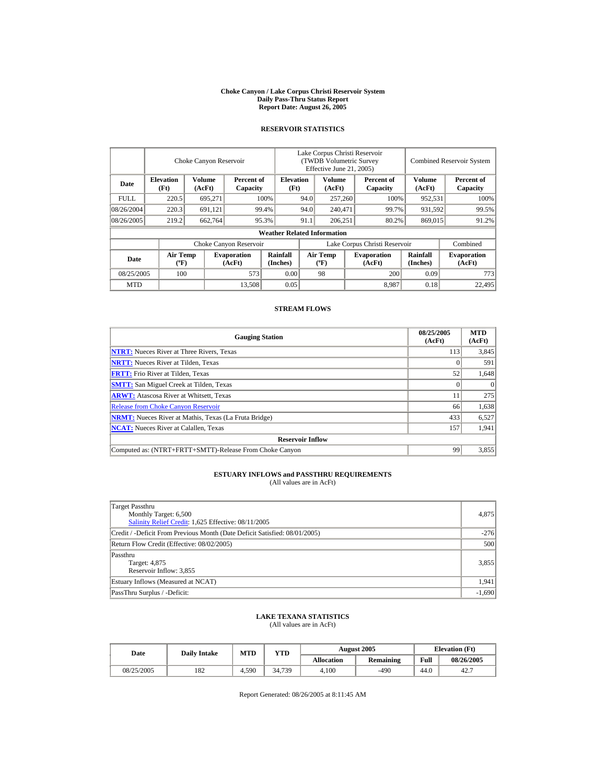#### **Choke Canyon / Lake Corpus Christi Reservoir System Daily Pass-Thru Status Report Report Date: August 26, 2005**

## **RESERVOIR STATISTICS**

|             | Choke Canyon Reservoir                      |                  |                              |                                    | Lake Corpus Christi Reservoir<br>(TWDB Volumetric Survey<br>Effective June 21, 2005) |                                  |  |                              | <b>Combined Reservoir System</b> |                              |  |
|-------------|---------------------------------------------|------------------|------------------------------|------------------------------------|--------------------------------------------------------------------------------------|----------------------------------|--|------------------------------|----------------------------------|------------------------------|--|
| Date        | <b>Elevation</b><br>(Ft)                    | Volume<br>(AcFt) | Percent of<br>Capacity       | <b>Elevation</b><br>(Ft)           |                                                                                      | Volume<br>(AcFt)                 |  | Percent of<br>Capacity       | Volume<br>(AcFt)                 | Percent of<br>Capacity       |  |
| <b>FULL</b> | 220.5                                       | 695,271          |                              | 100%                               | 94.0                                                                                 | 257,260                          |  | 100%                         | 952,531                          | 100%                         |  |
| 08/26/2004  | 220.3                                       | 691,121          |                              | 99.4%                              | 94.0                                                                                 | 240,471                          |  | 99.7%                        | 931,592                          | 99.5%                        |  |
| 08/26/2005  | 219.2                                       | 662,764          |                              | 95.3%                              | 91.1                                                                                 | 206.251                          |  | 80.2%                        | 869,015                          | 91.2%                        |  |
|             |                                             |                  |                              | <b>Weather Related Information</b> |                                                                                      |                                  |  |                              |                                  |                              |  |
|             |                                             |                  | Choke Canyon Reservoir       |                                    | Lake Corpus Christi Reservoir                                                        |                                  |  |                              |                                  | Combined                     |  |
| Date        | <b>Air Temp</b><br>$({}^{\circ}\mathrm{F})$ |                  | <b>Evaporation</b><br>(AcFt) | Rainfall<br>(Inches)               |                                                                                      | <b>Air Temp</b><br>$(^{\circ}F)$ |  | <b>Evaporation</b><br>(AcFt) | Rainfall<br>(Inches)             | <b>Evaporation</b><br>(AcFt) |  |
| 08/25/2005  | 100                                         |                  | 573                          | 0.00                               |                                                                                      | 98                               |  | 200                          | 0.09                             | 773                          |  |
| <b>MTD</b>  |                                             |                  | 13,508                       | 0.05                               |                                                                                      |                                  |  | 8,987                        | 0.18                             | 22,495                       |  |

## **STREAM FLOWS**

| <b>Gauging Station</b>                                       | 08/25/2005<br>(AcFt) | <b>MTD</b><br>(AcFt) |
|--------------------------------------------------------------|----------------------|----------------------|
| <b>NTRT:</b> Nueces River at Three Rivers, Texas             | 113                  | 3,845                |
| <b>NRTT:</b> Nueces River at Tilden, Texas                   |                      | 591                  |
| <b>FRTT:</b> Frio River at Tilden, Texas                     | 52                   | 1,648                |
| <b>SMTT:</b> San Miguel Creek at Tilden, Texas               |                      | $\Omega$             |
| <b>ARWT:</b> Atascosa River at Whitsett, Texas               |                      | 275                  |
| <b>Release from Choke Canyon Reservoir</b>                   | 66                   | 1,638                |
| <b>NRMT:</b> Nueces River at Mathis, Texas (La Fruta Bridge) | 433                  | 6,527                |
| <b>NCAT:</b> Nueces River at Calallen, Texas                 | 157                  | 1,941                |
| <b>Reservoir Inflow</b>                                      |                      |                      |
| Computed as: (NTRT+FRTT+SMTT)-Release From Choke Canyon      | 99                   | 3,855                |

## **ESTUARY INFLOWS and PASSTHRU REQUIREMENTS**<br>(All values are in AcFt)

| Target Passthru<br>Monthly Target: 6,500<br>Salinity Relief Credit: 1,625 Effective: 08/11/2005 | 4,875    |
|-------------------------------------------------------------------------------------------------|----------|
| Credit / -Deficit From Previous Month (Date Deficit Satisfied: 08/01/2005)                      | $-276$   |
| Return Flow Credit (Effective: 08/02/2005)                                                      | 500      |
| Passthru<br>Target: 4,875<br>Reservoir Inflow: 3,855                                            | 3,855    |
| Estuary Inflows (Measured at NCAT)                                                              | 1,941    |
| PassThru Surplus / -Deficit:                                                                    | $-1,690$ |

## **LAKE TEXANA STATISTICS**

(All values are in AcFt)

| Date       | <b>Daily Intake</b> | <b>MTD</b> | VTD    |            | <b>August 2005</b> | <b>Elevation</b> (Ft) |            |
|------------|---------------------|------------|--------|------------|--------------------|-----------------------|------------|
|            |                     |            |        | Allocation | <b>Remaining</b>   | Full                  | 08/26/2005 |
| 08/25/2005 | 182                 | 4.590      | 34.739 | 4.100      | $-490$             | 44.0                  | 42.7       |

Report Generated: 08/26/2005 at 8:11:45 AM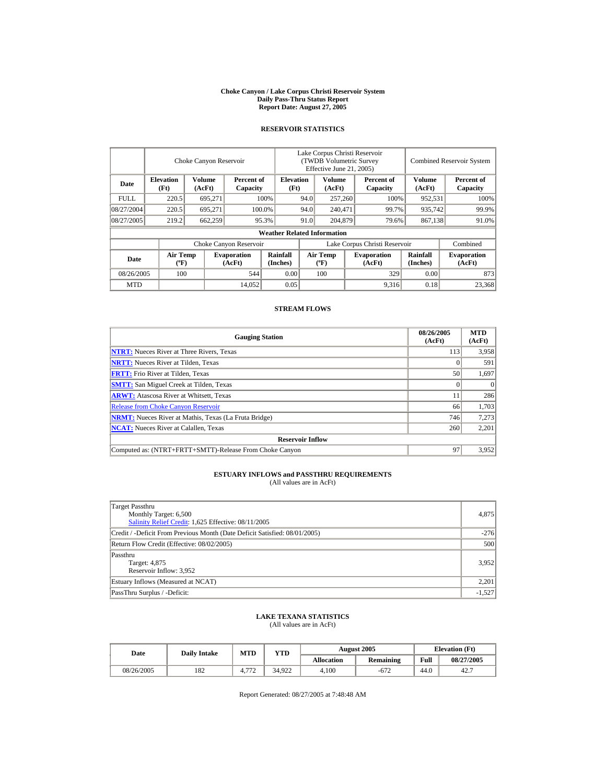#### **Choke Canyon / Lake Corpus Christi Reservoir System Daily Pass-Thru Status Report Report Date: August 27, 2005**

## **RESERVOIR STATISTICS**

|             |                                             | Choke Canyon Reservoir |                              |                                    |                               | Lake Corpus Christi Reservoir<br>(TWDB Volumetric Survey<br>Effective June 21, 2005) |         |                              |                             | <b>Combined Reservoir System</b> |  |  |
|-------------|---------------------------------------------|------------------------|------------------------------|------------------------------------|-------------------------------|--------------------------------------------------------------------------------------|---------|------------------------------|-----------------------------|----------------------------------|--|--|
| Date        | <b>Elevation</b><br>(Ft)                    | Volume<br>(AcFt)       | Percent of<br>Capacity       | <b>Elevation</b><br>(Ft)           |                               | Volume<br>(AcFt)                                                                     |         | Percent of<br>Capacity       | Volume<br>(AcFt)            | Percent of<br>Capacity           |  |  |
| <b>FULL</b> | 220.5                                       | 695,271                |                              | 100%                               | 94.0                          | 257,260                                                                              |         | 100%                         | 952,531                     | 100%                             |  |  |
| 08/27/2004  | 220.5                                       | 695.271                |                              | 100.0%                             | 94.0                          |                                                                                      | 240,471 | 99.7%                        | 935,742                     | 99.9%                            |  |  |
| 08/27/2005  | 219.2                                       | 662,259                |                              | 95.3%                              | 91.0                          | 204,879                                                                              |         | 79.6%                        | 867,138                     | 91.0%                            |  |  |
|             |                                             |                        |                              | <b>Weather Related Information</b> |                               |                                                                                      |         |                              |                             |                                  |  |  |
|             |                                             |                        | Choke Canyon Reservoir       |                                    | Lake Corpus Christi Reservoir |                                                                                      |         |                              |                             | Combined                         |  |  |
| Date        | <b>Air Temp</b><br>$({}^{\circ}\mathrm{F})$ |                        | <b>Evaporation</b><br>(AcFt) | Rainfall<br>(Inches)               |                               | <b>Air Temp</b><br>$(^{\circ}F)$                                                     |         | <b>Evaporation</b><br>(AcFt) | <b>Rainfall</b><br>(Inches) | <b>Evaporation</b><br>(AcFt)     |  |  |
| 08/26/2005  | 100                                         |                        | 544                          | 0.00                               |                               | 100                                                                                  |         | 329                          | 0.00                        | 873                              |  |  |
| <b>MTD</b>  |                                             |                        | 14,052                       | 0.05                               |                               |                                                                                      |         | 9,316                        | 0.18                        | 23.368                           |  |  |

## **STREAM FLOWS**

| <b>Gauging Station</b>                                       | 08/26/2005<br>(AcFt) | <b>MTD</b><br>(AcFt) |
|--------------------------------------------------------------|----------------------|----------------------|
| <b>NTRT:</b> Nueces River at Three Rivers, Texas             | 113                  | 3,958                |
| <b>NRTT:</b> Nueces River at Tilden, Texas                   |                      | 591                  |
| <b>FRTT:</b> Frio River at Tilden, Texas                     | 50                   | 1,697                |
| <b>SMTT:</b> San Miguel Creek at Tilden, Texas               |                      | $\Omega$             |
| <b>ARWT:</b> Atascosa River at Whitsett, Texas               |                      | 286                  |
| <b>Release from Choke Canyon Reservoir</b>                   | 66                   | 1.703                |
| <b>NRMT:</b> Nueces River at Mathis, Texas (La Fruta Bridge) | 746                  | 7,273                |
| <b>NCAT:</b> Nueces River at Calallen, Texas                 | 260                  | 2,201                |
| <b>Reservoir Inflow</b>                                      |                      |                      |
| Computed as: (NTRT+FRTT+SMTT)-Release From Choke Canyon      | 97                   | 3,952                |

# **ESTUARY INFLOWS and PASSTHRU REQUIREMENTS**<br>(All values are in AcFt)

| Target Passthru<br>Monthly Target: 6,500<br>Salinity Relief Credit: 1,625 Effective: 08/11/2005 | 4,875    |
|-------------------------------------------------------------------------------------------------|----------|
| Credit / -Deficit From Previous Month (Date Deficit Satisfied: 08/01/2005)                      | $-276$   |
| Return Flow Credit (Effective: 08/02/2005)                                                      | 500      |
| Passthru<br>Target: 4,875<br>Reservoir Inflow: 3,952                                            | 3,952    |
| Estuary Inflows (Measured at NCAT)                                                              | 2,201    |
| PassThru Surplus / -Deficit:                                                                    | $-1,527$ |

## **LAKE TEXANA STATISTICS**

(All values are in AcFt)

| Date       | <b>Daily Intake</b> | <b>MTD</b>              | VTD-   |            | August 2005      | <b>Elevation</b> (Ft) |            |
|------------|---------------------|-------------------------|--------|------------|------------------|-----------------------|------------|
|            |                     |                         |        | Allocation | <b>Remaining</b> | Full                  | 08/27/2005 |
| 08/26/2005 | 182                 | $.77^\circ$<br>4.7<br>- | 34.922 | 4.100      | $-672$           | 44.0                  | 42.7       |

Report Generated: 08/27/2005 at 7:48:48 AM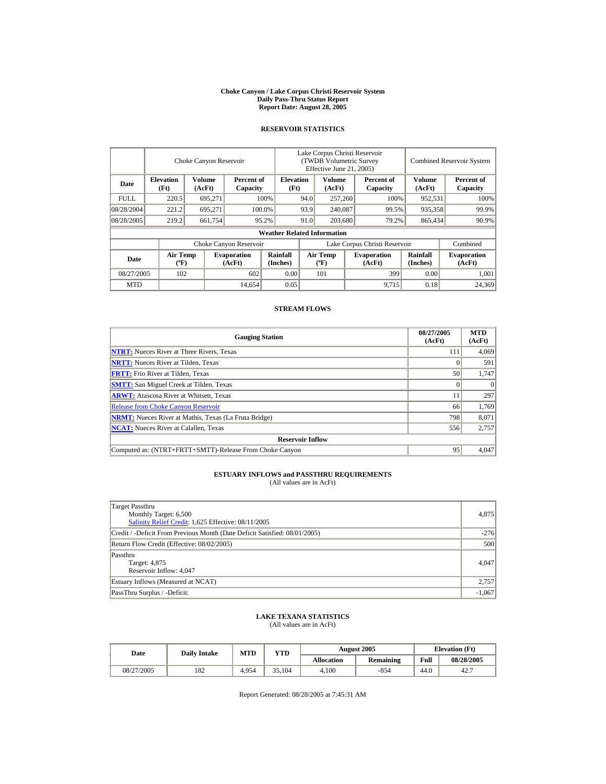#### **Choke Canyon / Lake Corpus Christi Reservoir System Daily Pass-Thru Status Report Report Date: August 28, 2005**

## **RESERVOIR STATISTICS**

|             | Choke Canyon Reservoir                      |                  |                              |                                    | Lake Corpus Christi Reservoir<br>(TWDB Volumetric Survey<br>Effective June 21, 2005) |                                             |  |                              |                             | <b>Combined Reservoir System</b> |  |  |
|-------------|---------------------------------------------|------------------|------------------------------|------------------------------------|--------------------------------------------------------------------------------------|---------------------------------------------|--|------------------------------|-----------------------------|----------------------------------|--|--|
| Date        | <b>Elevation</b><br>(Ft)                    | Volume<br>(AcFt) | Percent of<br>Capacity       | <b>Elevation</b><br>(Ft)           |                                                                                      | Volume<br>(AcFt)                            |  | Percent of<br>Capacity       | Volume<br>(AcFt)            | Percent of<br>Capacity           |  |  |
| <b>FULL</b> | 220.5                                       | 695,271          |                              | 100%                               | 94.0                                                                                 | 257,260                                     |  | 100%                         | 952,531                     | 100%                             |  |  |
| 08/28/2004  | 221.2                                       | 695.271          |                              | 100.0%                             | 93.9                                                                                 | 240,087                                     |  | 99.5%                        | 935,358                     | 99.9%                            |  |  |
| 08/28/2005  | 219.2                                       | 661,754          |                              | 95.2%                              | 91.0                                                                                 | 203,680                                     |  | 79.2%                        | 865,434                     | 90.9%                            |  |  |
|             |                                             |                  |                              | <b>Weather Related Information</b> |                                                                                      |                                             |  |                              |                             |                                  |  |  |
|             |                                             |                  | Choke Canyon Reservoir       |                                    | Lake Corpus Christi Reservoir                                                        |                                             |  |                              |                             | Combined                         |  |  |
| Date        | <b>Air Temp</b><br>$({}^{\circ}\mathrm{F})$ |                  | <b>Evaporation</b><br>(AcFt) | Rainfall<br>(Inches)               |                                                                                      | <b>Air Temp</b><br>$({}^{\circ}\mathbf{F})$ |  | <b>Evaporation</b><br>(AcFt) | <b>Rainfall</b><br>(Inches) | <b>Evaporation</b><br>(AcFt)     |  |  |
| 08/27/2005  | 102                                         |                  | 602                          | 0.00                               |                                                                                      | 101                                         |  | 399                          | 0.00                        | 1,001                            |  |  |
| <b>MTD</b>  |                                             |                  | 14,654                       | 0.05                               |                                                                                      |                                             |  | 9,715                        | 0.18                        | 24,369                           |  |  |

## **STREAM FLOWS**

| <b>Gauging Station</b>                                       | 08/27/2005<br>(AcFt) | <b>MTD</b><br>(AcFt) |
|--------------------------------------------------------------|----------------------|----------------------|
| <b>NTRT:</b> Nueces River at Three Rivers, Texas             | 111                  | 4,069                |
| <b>NRTT:</b> Nueces River at Tilden, Texas                   |                      | 591                  |
| <b>FRTT:</b> Frio River at Tilden, Texas                     | 50                   | 1,747                |
| <b>SMTT:</b> San Miguel Creek at Tilden, Texas               |                      | $\Omega$             |
| <b>ARWT:</b> Atascosa River at Whitsett, Texas               |                      | 297                  |
| <b>Release from Choke Canyon Reservoir</b>                   | 66                   | 1.769                |
| <b>NRMT:</b> Nueces River at Mathis, Texas (La Fruta Bridge) | 798                  | 8,071                |
| <b>NCAT:</b> Nueces River at Calallen, Texas                 | 556                  | 2,757                |
| <b>Reservoir Inflow</b>                                      |                      |                      |
| Computed as: (NTRT+FRTT+SMTT)-Release From Choke Canyon      | 95                   | 4.047                |

## **ESTUARY INFLOWS and PASSTHRU REQUIREMENTS**<br>(All values are in AcFt)

| Target Passthru<br>Monthly Target: 6,500<br>Salinity Relief Credit: 1,625 Effective: 08/11/2005 | 4,875    |
|-------------------------------------------------------------------------------------------------|----------|
| Credit / -Deficit From Previous Month (Date Deficit Satisfied: 08/01/2005)                      | $-276$   |
| Return Flow Credit (Effective: 08/02/2005)                                                      | 500      |
| Passthru<br>Target: 4,875<br>Reservoir Inflow: 4,047                                            | 4,047    |
| Estuary Inflows (Measured at NCAT)                                                              | 2,757    |
| PassThru Surplus / -Deficit:                                                                    | $-1,067$ |

## **LAKE TEXANA STATISTICS**

(All values are in AcFt)

| Date       | <b>Daily Intake</b> | <b>MTD</b> | YTD    |                   | <b>August 2005</b> | <b>Elevation</b> (Ft) |            |
|------------|---------------------|------------|--------|-------------------|--------------------|-----------------------|------------|
|            |                     |            |        | <b>Allocation</b> | <b>Remaining</b>   | Full                  | 08/28/2005 |
| 08/27/2005 | 182                 | 4.954      | 35.104 | 4.100             | $-854$             | 44.0                  | 42.7       |

Report Generated: 08/28/2005 at 7:45:31 AM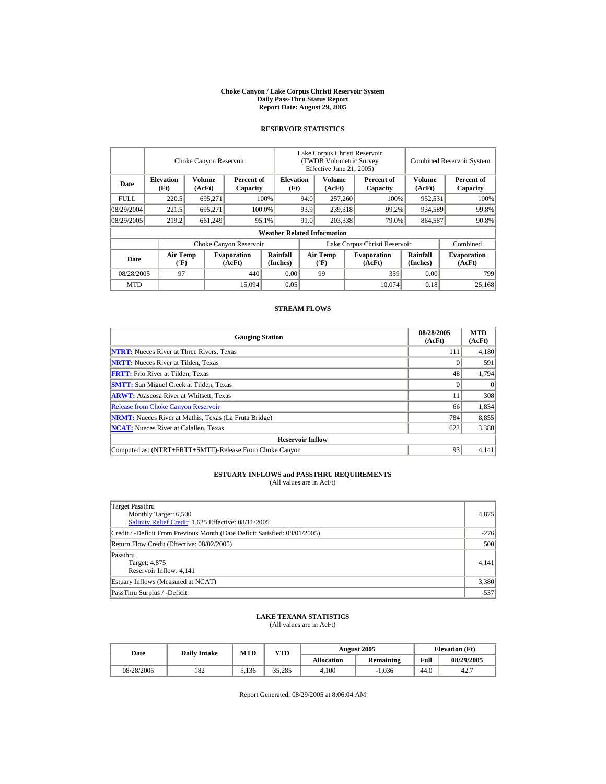#### **Choke Canyon / Lake Corpus Christi Reservoir System Daily Pass-Thru Status Report Report Date: August 29, 2005**

## **RESERVOIR STATISTICS**

|             |                                             | Choke Canyon Reservoir  |                              |                                    | Lake Corpus Christi Reservoir<br>(TWDB Volumetric Survey<br>Effective June 21, 2005) |                                   |  |                              |                             | Combined Reservoir System    |
|-------------|---------------------------------------------|-------------------------|------------------------------|------------------------------------|--------------------------------------------------------------------------------------|-----------------------------------|--|------------------------------|-----------------------------|------------------------------|
| Date        | <b>Elevation</b><br>(Ft)                    | <b>Volume</b><br>(AcFt) | Percent of<br>Capacity       | <b>Elevation</b><br>(Ft)           |                                                                                      | Volume<br>(AcFt)                  |  | Percent of<br>Capacity       | <b>Volume</b><br>(AcFt)     | Percent of<br>Capacity       |
| <b>FULL</b> | 220.5                                       | 695,271                 |                              | 100%                               | 94.0                                                                                 | 257,260                           |  | 100%                         | 952,531                     | 100%                         |
| 08/29/2004  | 221.5                                       | 695.271                 |                              | 100.0%                             | 93.9                                                                                 | 239,318                           |  | 99.2%                        | 934,589                     | 99.8%                        |
| 08/29/2005  | 219.2                                       | 661,249                 |                              | 95.1%                              | 91.0                                                                                 | 203,338                           |  | 79.0%                        | 864,587                     | 90.8%                        |
|             |                                             |                         |                              | <b>Weather Related Information</b> |                                                                                      |                                   |  |                              |                             |                              |
|             |                                             |                         | Choke Canyon Reservoir       |                                    | Lake Corpus Christi Reservoir                                                        |                                   |  |                              |                             | Combined                     |
| Date        | <b>Air Temp</b><br>$({}^{\circ}\mathrm{F})$ |                         | <b>Evaporation</b><br>(AcFt) | <b>Rainfall</b><br>(Inches)        |                                                                                      | Air Temp<br>$({}^{\circ}{\rm F})$ |  | <b>Evaporation</b><br>(AcFt) | <b>Rainfall</b><br>(Inches) | <b>Evaporation</b><br>(AcFt) |
| 08/28/2005  | 97                                          |                         | 440                          | 0.00                               |                                                                                      | 99                                |  | 359                          | 0.00                        | 799                          |
| <b>MTD</b>  |                                             |                         | 15,094                       | 0.05                               |                                                                                      |                                   |  | 10.074                       | 0.18                        | 25.168                       |

## **STREAM FLOWS**

| <b>Gauging Station</b>                                       | 08/28/2005<br>(AcFt) | <b>MTD</b><br>(AcFt) |
|--------------------------------------------------------------|----------------------|----------------------|
| <b>NTRT:</b> Nueces River at Three Rivers, Texas             | 111                  | 4,180                |
| <b>NRTT:</b> Nueces River at Tilden, Texas                   |                      | 591                  |
| <b>FRTT:</b> Frio River at Tilden, Texas                     | 48                   | 1,794                |
| <b>SMTT:</b> San Miguel Creek at Tilden, Texas               |                      | $\Omega$             |
| <b>ARWT:</b> Atascosa River at Whitsett, Texas               |                      | 308                  |
| <b>Release from Choke Canyon Reservoir</b>                   | 66                   | 1,834                |
| <b>NRMT:</b> Nueces River at Mathis, Texas (La Fruta Bridge) | 784                  | 8,855                |
| <b>NCAT:</b> Nueces River at Calallen, Texas                 | 623                  | 3,380                |
| <b>Reservoir Inflow</b>                                      |                      |                      |
| Computed as: (NTRT+FRTT+SMTT)-Release From Choke Canyon      | 93                   | 4.141                |

## **ESTUARY INFLOWS and PASSTHRU REQUIREMENTS**<br>(All values are in AcFt)

| Target Passthru<br>Monthly Target: 6,500<br>Salinity Relief Credit: 1,625 Effective: 08/11/2005 | 4,875  |
|-------------------------------------------------------------------------------------------------|--------|
| Credit / -Deficit From Previous Month (Date Deficit Satisfied: 08/01/2005)                      | $-276$ |
| Return Flow Credit (Effective: 08/02/2005)                                                      | 500    |
| Passthru<br>Target: 4,875<br>Reservoir Inflow: 4,141                                            | 4.141  |
| Estuary Inflows (Measured at NCAT)                                                              | 3,380  |
| PassThru Surplus / -Deficit:                                                                    | $-537$ |

## **LAKE TEXANA STATISTICS**

(All values are in AcFt)

| Date       | <b>Daily Intake</b> | <b>MTD</b> | $_{\rm VTD}$ |            | <b>August 2005</b> | <b>Elevation</b> (Ft) |            |
|------------|---------------------|------------|--------------|------------|--------------------|-----------------------|------------|
|            |                     |            |              | Allocation | <b>Remaining</b>   | Full                  | 08/29/2005 |
| 08/28/2005 | 182                 | 5.136      | 35.285       | 4.100      | $-1.036$           | 44.0                  | 42.7       |

Report Generated: 08/29/2005 at 8:06:04 AM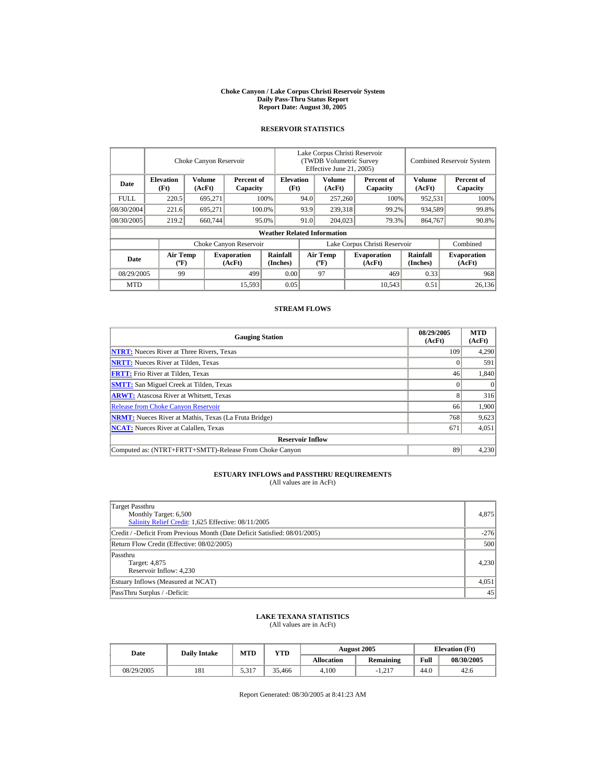#### **Choke Canyon / Lake Corpus Christi Reservoir System Daily Pass-Thru Status Report Report Date: August 30, 2005**

## **RESERVOIR STATISTICS**

|                        |                                             | Choke Canyon Reservoir |                              | Lake Corpus Christi Reservoir<br>(TWDB Volumetric Survey<br>Effective June 21, 2005) |                               |                                             | <b>Combined Reservoir System</b> |                              |                      |                              |
|------------------------|---------------------------------------------|------------------------|------------------------------|--------------------------------------------------------------------------------------|-------------------------------|---------------------------------------------|----------------------------------|------------------------------|----------------------|------------------------------|
| Date                   | <b>Elevation</b><br>(Ft)                    | Volume<br>(AcFt)       | Percent of<br>Capacity       | <b>Elevation</b><br>(Ft)                                                             |                               | Volume<br>(AcFt)                            |                                  | Percent of<br>Capacity       | Volume<br>(AcFt)     | Percent of<br>Capacity       |
| <b>FULL</b>            | 220.5                                       | 695,271                |                              | 100%                                                                                 | 94.0<br>257,260               |                                             |                                  | 100%                         | 952,531              | 100%                         |
| 08/30/2004             | 221.6                                       | 695.271                |                              | 100.0%                                                                               | 93.9                          | 239,318                                     |                                  | 99.2%                        | 934,589              | 99.8%                        |
| 08/30/2005             | 219.2                                       | 660,744                |                              | 95.0%                                                                                | 91.0                          | 204,023                                     |                                  | 79.3%                        | 864,767              | 90.8%                        |
|                        | <b>Weather Related Information</b>          |                        |                              |                                                                                      |                               |                                             |                                  |                              |                      |                              |
| Choke Canyon Reservoir |                                             |                        |                              |                                                                                      | Lake Corpus Christi Reservoir |                                             |                                  |                              |                      | Combined                     |
| Date                   | <b>Air Temp</b><br>$({}^{\circ}\mathrm{F})$ |                        | <b>Evaporation</b><br>(AcFt) | Rainfall<br>(Inches)                                                                 |                               | <b>Air Temp</b><br>$({}^{\circ}\mathbf{F})$ |                                  | <b>Evaporation</b><br>(AcFt) | Rainfall<br>(Inches) | <b>Evaporation</b><br>(AcFt) |
| 08/29/2005             | 99                                          |                        | 499                          | 0.00                                                                                 |                               | 97                                          |                                  | 469                          | 0.33                 | 968                          |
| <b>MTD</b>             |                                             |                        | 15,593                       | 0.05                                                                                 |                               |                                             |                                  | 10.543                       | 0.51                 | 26.136                       |

## **STREAM FLOWS**

| <b>Gauging Station</b>                                       | 08/29/2005<br>(AcFt) | <b>MTD</b><br>(AcFt) |
|--------------------------------------------------------------|----------------------|----------------------|
| <b>NTRT:</b> Nueces River at Three Rivers, Texas             | 109                  | 4,290                |
| <b>NRTT:</b> Nueces River at Tilden, Texas                   |                      | 591                  |
| <b>FRTT:</b> Frio River at Tilden, Texas                     | 46                   | 1,840                |
| <b>SMTT:</b> San Miguel Creek at Tilden, Texas               |                      | $\Omega$             |
| <b>ARWT:</b> Atascosa River at Whitsett, Texas               |                      | 316                  |
| <b>Release from Choke Canyon Reservoir</b>                   | 66                   | 1,900                |
| <b>NRMT:</b> Nueces River at Mathis, Texas (La Fruta Bridge) | 768                  | 9,623                |
| <b>NCAT:</b> Nueces River at Calallen, Texas                 | 671                  | 4,051                |
| <b>Reservoir Inflow</b>                                      |                      |                      |
| Computed as: (NTRT+FRTT+SMTT)-Release From Choke Canyon      | 89                   | 4,230                |

## **ESTUARY INFLOWS and PASSTHRU REQUIREMENTS**<br>(All values are in AcFt)

| Target Passthru<br>Monthly Target: 6,500<br>Salinity Relief Credit: 1,625 Effective: 08/11/2005 | 4,875  |
|-------------------------------------------------------------------------------------------------|--------|
| Credit / -Deficit From Previous Month (Date Deficit Satisfied: 08/01/2005)                      | $-276$ |
| Return Flow Credit (Effective: 08/02/2005)                                                      | 500    |
| Passthru<br>Target: 4,875<br>Reservoir Inflow: 4,230                                            | 4,230  |
| Estuary Inflows (Measured at NCAT)                                                              | 4,051  |
| PassThru Surplus / -Deficit:                                                                    | 45     |

## **LAKE TEXANA STATISTICS**

(All values are in AcFt)

|  | MTD<br>YTD<br><b>Daily Intake</b><br>Date |     |       | <b>August 2005</b> | <b>Elevation</b> (Ft) |                  |      |            |
|--|-------------------------------------------|-----|-------|--------------------|-----------------------|------------------|------|------------|
|  |                                           |     |       |                    | <b>Allocation</b>     | <b>Remaining</b> | Full | 08/30/2005 |
|  | 08/29/2005                                | 181 | 5,317 | 35.466             | 4.100                 | $-1.217$         | 44.0 | 42.6       |

Report Generated: 08/30/2005 at 8:41:23 AM